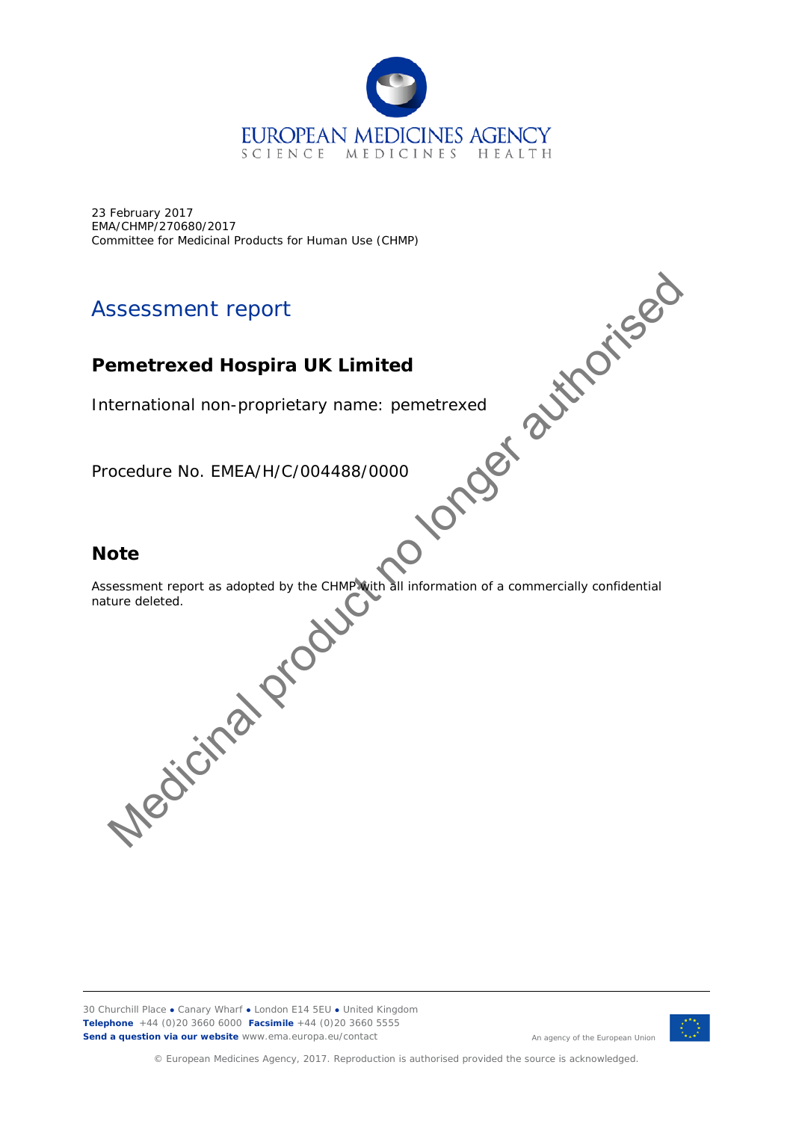

23 February 2017 EMA/CHMP/270680/2017

# Assessment report

# **Pemetrexed Hospira UK Limited**

International non-proprietary name: pemetrexed

Procedure No. EMEA/H/C/004488/0000

# **Note**

Committee for Medicinal Products for Human Use (CHMP)<br>
Assessment report<br>
Permetrexed Hospira UK Limited<br>
International non-proprietary name: permetrexed<br>
Procedure No. EMEA/H/C/004488/0<sup>c</sup><br>
Note<br>
Assessment Assessment report as adopted by the CHMP with all information of a commercially confidential nature deleted. SSESSMENT report<br>
ternational non-proprietary name: pemetrexed<br>
ocedure No. EMEA/H/C/004488/0000<br>
ote<br>
ote<br>
sessment report as adopted by the CHMPM(thall Information of a commercially confidential<br>
fure deleted.<br>
NGC COCOC

30 Churchill Place **●** Canary Wharf **●** London E14 5EU **●** United Kingdom **Telephone** +44 (0)20 3660 6000 **Facsimile** +44 (0)20 3660 5555 **Send a question via our website** www.ema.europa.eu/contact



© European Medicines Agency, 2017. Reproduction is authorised provided the source is acknowledged.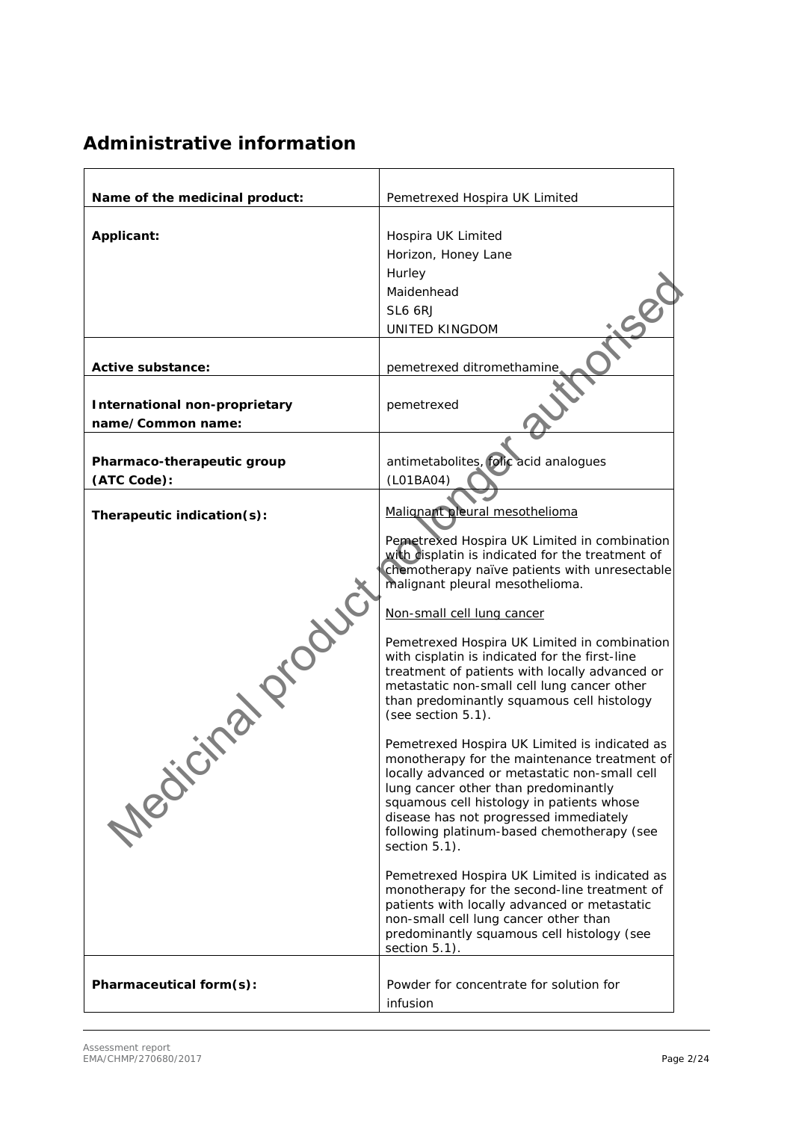# **Administrative information**

| Name of the medicinal product:                            | Pemetrexed Hospira UK Limited                                                                                                                                                                                                                                                                                                                                                                                                                                                                                                                                                                                                                                                                                                                                                                                                                                                                                                                                                                                                                                                                      |  |
|-----------------------------------------------------------|----------------------------------------------------------------------------------------------------------------------------------------------------------------------------------------------------------------------------------------------------------------------------------------------------------------------------------------------------------------------------------------------------------------------------------------------------------------------------------------------------------------------------------------------------------------------------------------------------------------------------------------------------------------------------------------------------------------------------------------------------------------------------------------------------------------------------------------------------------------------------------------------------------------------------------------------------------------------------------------------------------------------------------------------------------------------------------------------------|--|
| Applicant:                                                | Hospira UK Limited<br>Horizon, Honey Lane<br>Hurley<br>Maidenhead<br>SL6 6RJ<br><b>UNITED KINGDOM</b>                                                                                                                                                                                                                                                                                                                                                                                                                                                                                                                                                                                                                                                                                                                                                                                                                                                                                                                                                                                              |  |
|                                                           |                                                                                                                                                                                                                                                                                                                                                                                                                                                                                                                                                                                                                                                                                                                                                                                                                                                                                                                                                                                                                                                                                                    |  |
| Active substance:                                         | pemetrexed ditromethamine                                                                                                                                                                                                                                                                                                                                                                                                                                                                                                                                                                                                                                                                                                                                                                                                                                                                                                                                                                                                                                                                          |  |
| <b>International non-proprietary</b><br>name/Common name: | pemetrexed                                                                                                                                                                                                                                                                                                                                                                                                                                                                                                                                                                                                                                                                                                                                                                                                                                                                                                                                                                                                                                                                                         |  |
|                                                           |                                                                                                                                                                                                                                                                                                                                                                                                                                                                                                                                                                                                                                                                                                                                                                                                                                                                                                                                                                                                                                                                                                    |  |
| Pharmaco-therapeutic group                                | antimetabolites, folic acid analogues                                                                                                                                                                                                                                                                                                                                                                                                                                                                                                                                                                                                                                                                                                                                                                                                                                                                                                                                                                                                                                                              |  |
| (ATC Code):                                               | (L01BA04)                                                                                                                                                                                                                                                                                                                                                                                                                                                                                                                                                                                                                                                                                                                                                                                                                                                                                                                                                                                                                                                                                          |  |
| Therapeutic indication(s):                                | Malignant pleural mesothelioma                                                                                                                                                                                                                                                                                                                                                                                                                                                                                                                                                                                                                                                                                                                                                                                                                                                                                                                                                                                                                                                                     |  |
| <b>Training</b><br>Medic                                  | Pemetrexed Hospira UK Limited in combination<br>with displatin is indicated for the treatment of<br>chemotherapy naïve patients with unresectable<br>malignant pleural mesothelioma.<br>Non-small cell lung cancer<br>Pemetrexed Hospira UK Limited in combination<br>with cisplatin is indicated for the first-line<br>treatment of patients with locally advanced or<br>metastatic non-small cell lung cancer other<br>than predominantly squamous cell histology<br>(see section 5.1).<br>Pemetrexed Hospira UK Limited is indicated as<br>monotherapy for the maintenance treatment of<br>locally advanced or metastatic non-small cell<br>lung cancer other than predominantly<br>squamous cell histology in patients whose<br>disease has not progressed immediately<br>following platinum-based chemotherapy (see<br>section 5.1).<br>Pemetrexed Hospira UK Limited is indicated as<br>monotherapy for the second-line treatment of<br>patients with locally advanced or metastatic<br>non-small cell lung cancer other than<br>predominantly squamous cell histology (see<br>section 5.1). |  |
| Pharmaceutical form(s):                                   | Powder for concentrate for solution for<br>infusion                                                                                                                                                                                                                                                                                                                                                                                                                                                                                                                                                                                                                                                                                                                                                                                                                                                                                                                                                                                                                                                |  |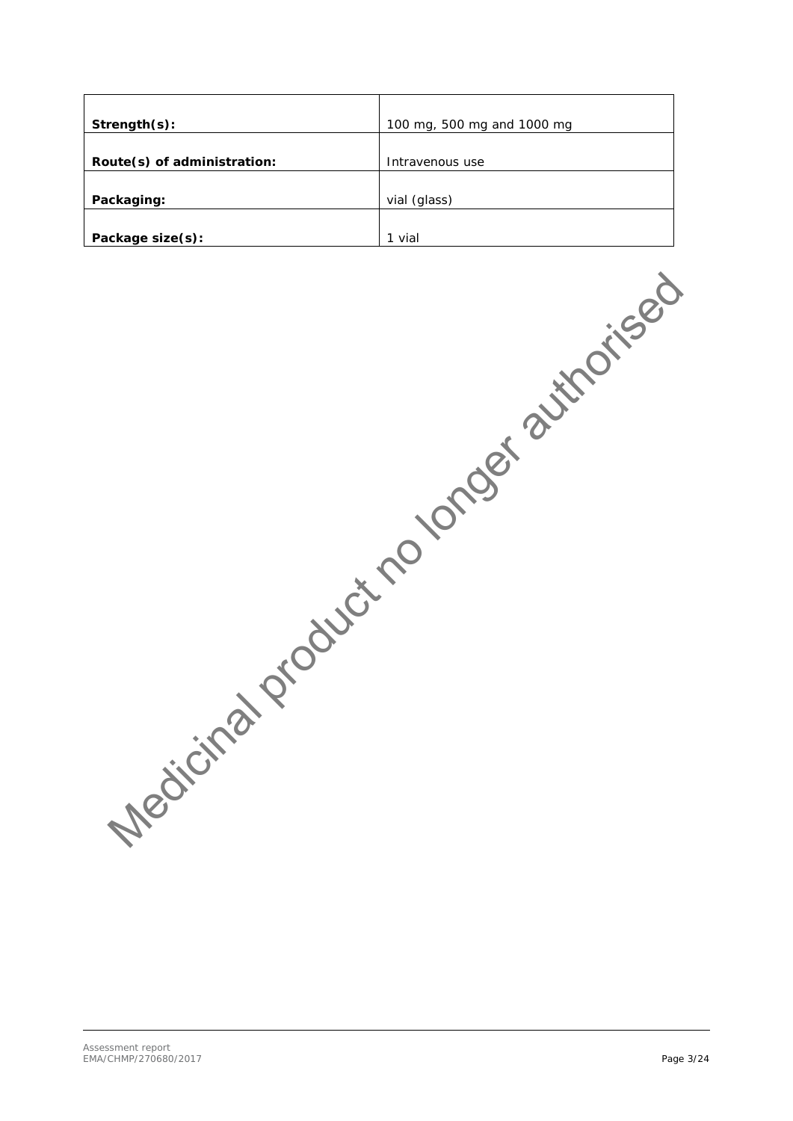| Strength(s):                | 100 mg, 500 mg and 1000 mg |  |  |
|-----------------------------|----------------------------|--|--|
|                             |                            |  |  |
| Route(s) of administration: | Intravenous use            |  |  |
|                             |                            |  |  |
| Packaging:                  | vial (glass)               |  |  |
|                             |                            |  |  |
| Package size(s):            | 1 vial                     |  |  |

Medicinal product no longer authorised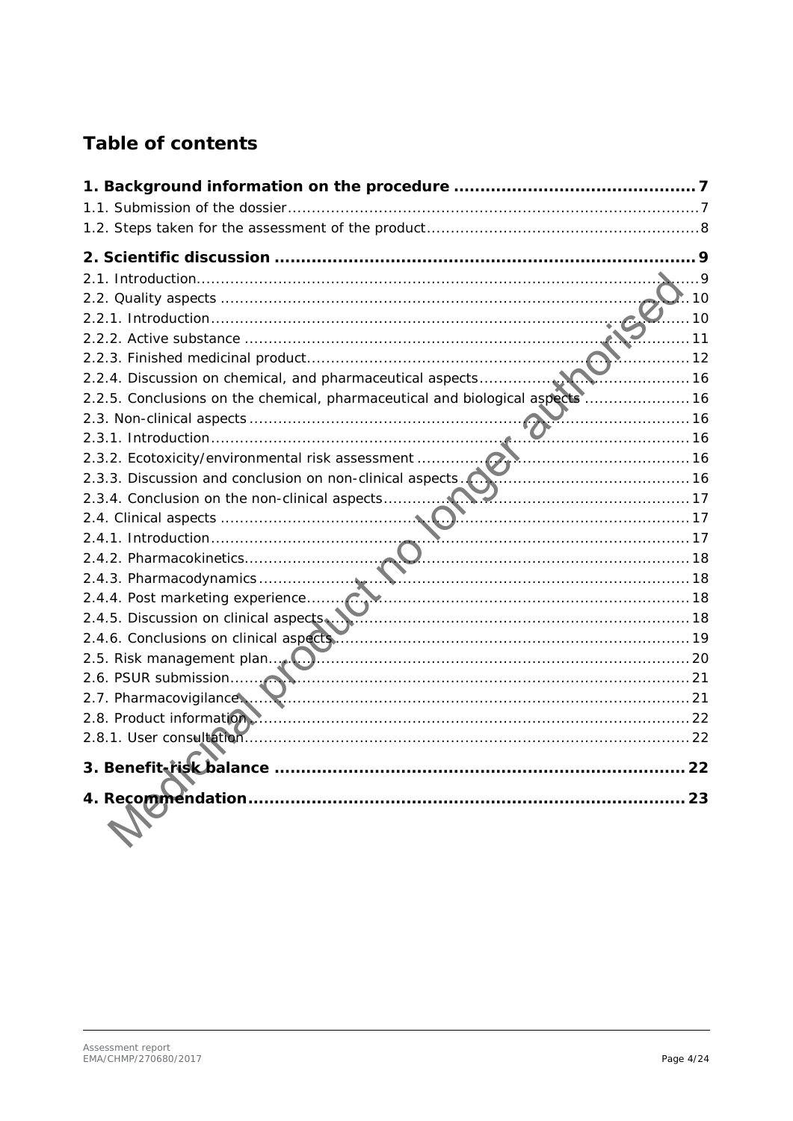# **Table of contents**

|                                                                                                               | $\cdot$ 10 |
|---------------------------------------------------------------------------------------------------------------|------------|
|                                                                                                               | . 10       |
| . 11                                                                                                          |            |
| . 12                                                                                                          |            |
| . 16                                                                                                          |            |
| 2.2.5. Conclusions on the chemical, pharmaceutical and biological aspects  16                                 |            |
|                                                                                                               |            |
|                                                                                                               |            |
|                                                                                                               |            |
| 2.3.3. Discussion and conclusion on non-clinical aspects.                                                     |            |
|                                                                                                               |            |
|                                                                                                               |            |
|                                                                                                               |            |
|                                                                                                               |            |
|                                                                                                               |            |
|                                                                                                               |            |
|                                                                                                               |            |
|                                                                                                               |            |
|                                                                                                               |            |
|                                                                                                               |            |
| 2.7. Pharmacovigilance  Marin 21 and 21 and 21 and 21 and 21 and 21 and 21 and 21 and 21 and 21 and 21 and 21 |            |
|                                                                                                               |            |
|                                                                                                               |            |
|                                                                                                               |            |
|                                                                                                               | 23         |
|                                                                                                               |            |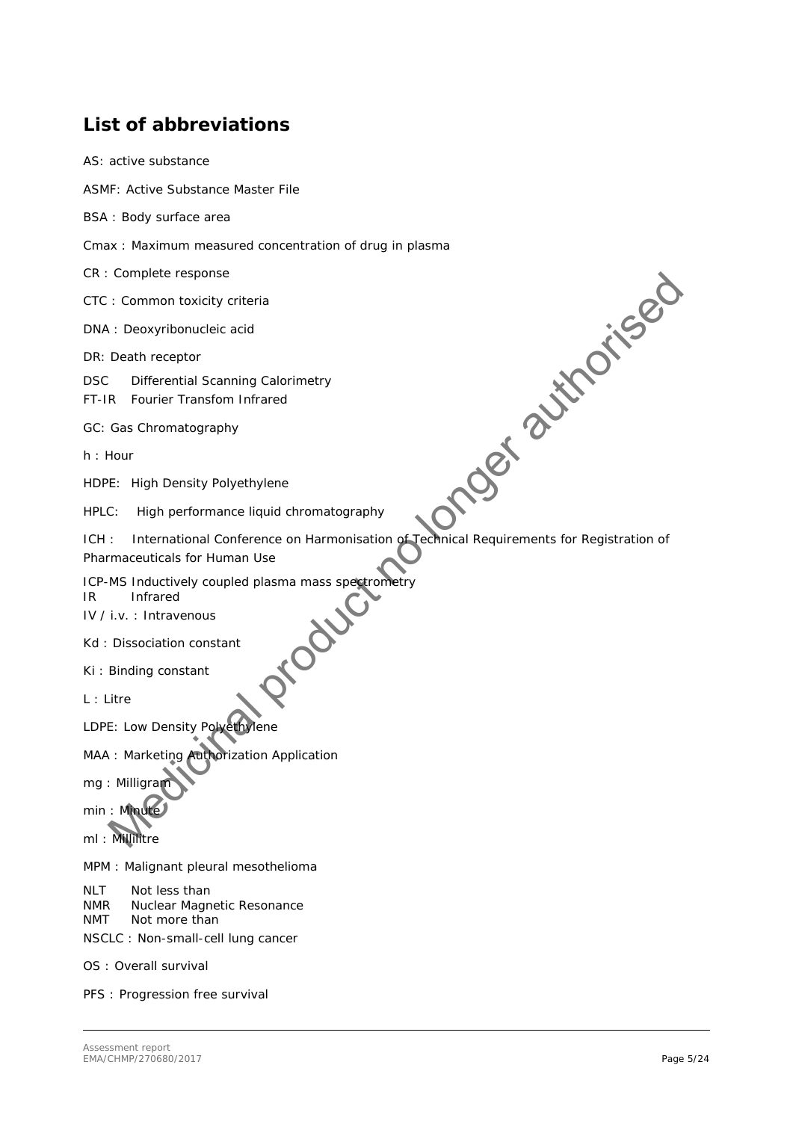# **List of abbreviations**

| AS: active substance                                                                                                             |
|----------------------------------------------------------------------------------------------------------------------------------|
| ASMF: Active Substance Master File                                                                                               |
| BSA : Body surface area                                                                                                          |
| Cmax: Maximum measured concentration of drug in plasma                                                                           |
| CR : Complete response                                                                                                           |
| CTC: Common toxicity criteria                                                                                                    |
| DNA : Deoxyribonucleic acid                                                                                                      |
| DR: Death receptor                                                                                                               |
| Principal<br><b>DSC</b><br>Differential Scanning Calorimetry<br>Fourier Transfom Infrared<br>FT-IR                               |
| GC: Gas Chromatography                                                                                                           |
| h: Hour                                                                                                                          |
| HDPE: High Density Polyethylene                                                                                                  |
| High performance liquid chromatography<br>HPLC:                                                                                  |
| International Conference on Harmonisation of Technical Requirements for Registration of<br>ICH:<br>Pharmaceuticals for Human Use |
| ICP-MS Inductively coupled plasma mass spectrometry<br>Infrared<br>IR.<br>idoug<br>IV / i.v. : Intravenous                       |
| Kd: Dissociation constant                                                                                                        |
| Ki: Binding constant                                                                                                             |
| $L:$ Litre                                                                                                                       |
| LDPE: Low Density Polyethylene                                                                                                   |
| MAA : Marketing Authorization Application                                                                                        |
| mg: Milligram                                                                                                                    |
| min : Minute                                                                                                                     |
| ml: Millilitre                                                                                                                   |
| MPM : Malignant pleural mesothelioma                                                                                             |
| Not less than<br>NLT.<br><b>NMR</b><br>Nuclear Magnetic Resonance<br>Not more than<br>NMT<br>NSCLC : Non-small-cell lung cancer  |
| OS: Overall survival                                                                                                             |
| PFS : Progression free survival                                                                                                  |
|                                                                                                                                  |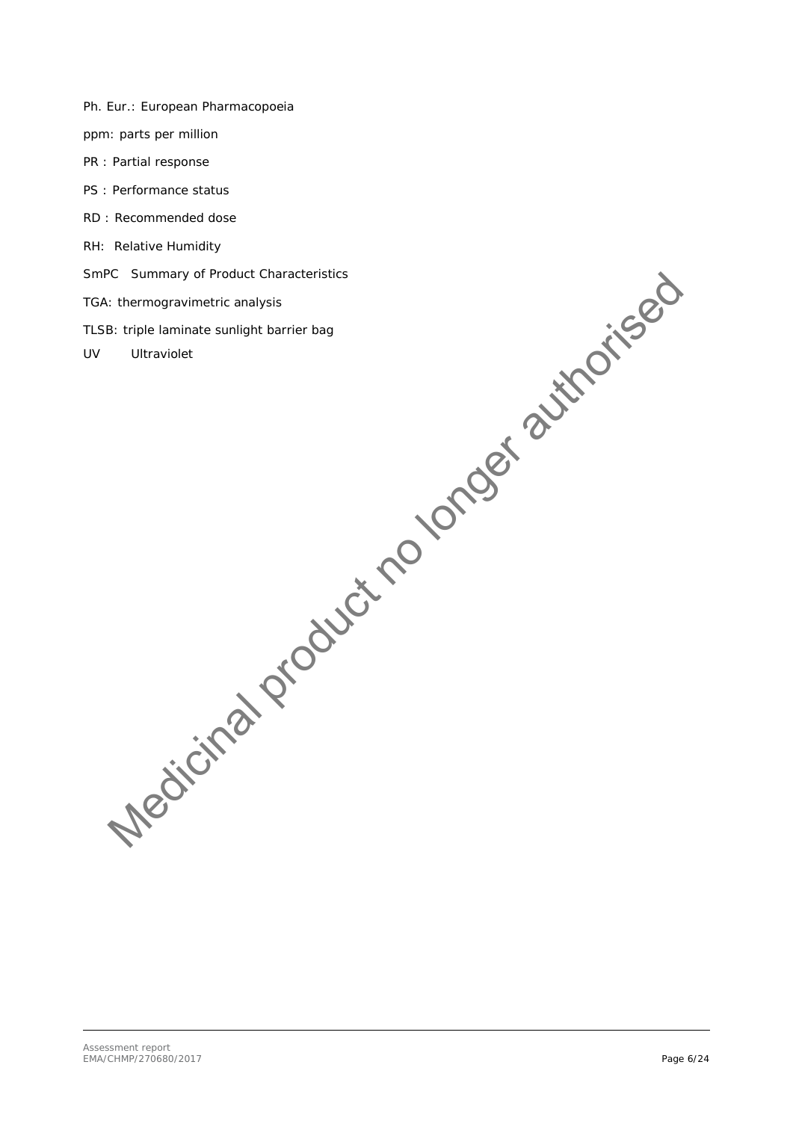- Ph. Eur.: European Pharmacopoeia
- ppm: parts per million
- PR : Partial response
- PS : Performance status
- RD : Recommended dose
- RH: Relative Humidity
- SmPC Summary of Product Characteristics
- TGA: thermogravimetric analysis
- TLSB: triple laminate sunlight barrier bag C Summary of Product Characteristics<br>
Litterworder Enting and metric characteristics<br>
Ultraviolet<br>
Ultraviolet<br>
URGICICA POLOCER<br>
VICTICA POLOCER<br>
VICTICA POLOCER
- UV Ultraviolet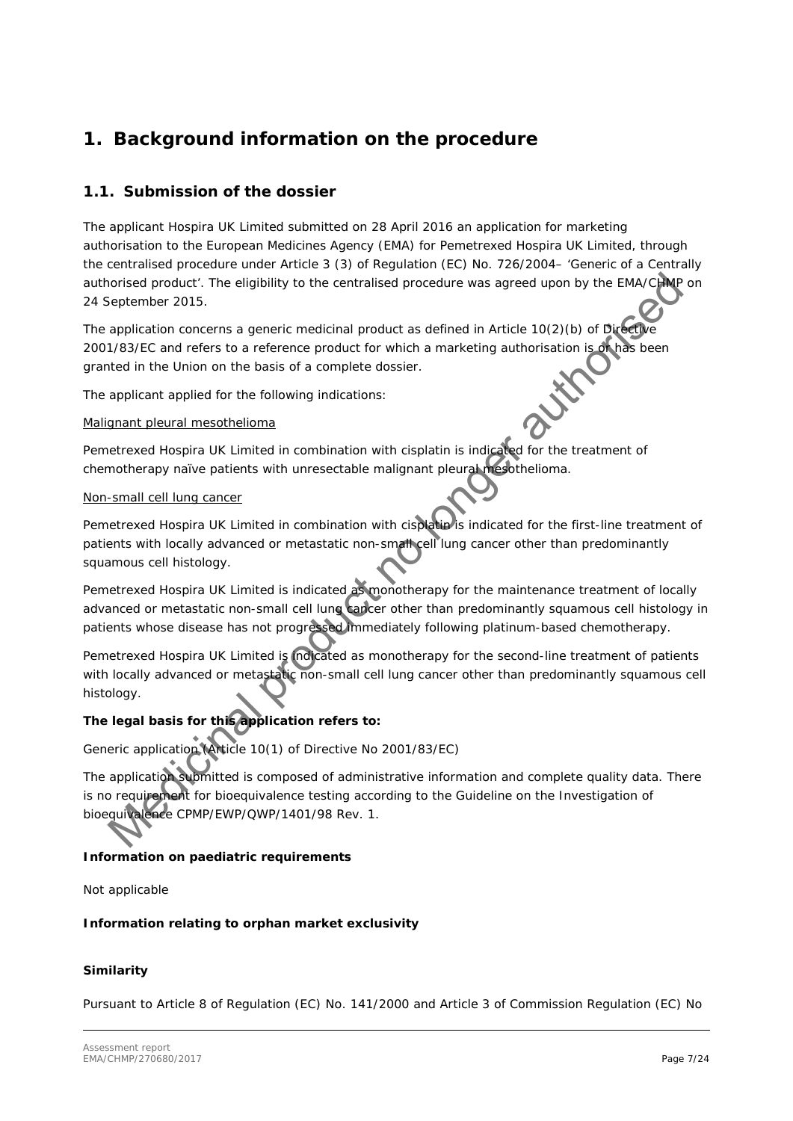# <span id="page-6-0"></span>**1. Background information on the procedure**

### <span id="page-6-1"></span>*1.1. Submission of the dossier*

The applicant Hospira UK Limited submitted on 28 April 2016 an application for marketing authorisation to the European Medicines Agency (EMA) for Pemetrexed Hospira UK Limited, through the centralised procedure under Article 3 (3) of Regulation (EC) No. 726/2004– 'Generic of a Centrally authorised product'. The eligibility to the centralised procedure was agreed upon by the EMA/CHMP on 24 September 2015.

The application concerns a generic medicinal product as defined in Article 10(2)(b) of Directive 2001/83/EC and refers to a reference product for which a marketing authorisation is or has been granted in the Union on the basis of a complete dossier.

The applicant applied for the following indications:

### Malignant pleural mesothelioma

Pemetrexed Hospira UK Limited in combination with cisplatin is indicated for the treatment of chemotherapy naïve patients with unresectable malignant pleural mesothelioma.

#### Non-small cell lung cancer

Pemetrexed Hospira UK Limited in combination with cisplatin is indicated for the first-line treatment of patients with locally advanced or metastatic non-small cell lung cancer other than predominantly squamous cell histology.

Pemetrexed Hospira UK Limited is indicated as monotherapy for the maintenance treatment of locally advanced or metastatic non-small cell lung cancer other than predominantly squamous cell histology in patients whose disease has not progressed immediately following platinum-based chemotherapy.

Pemetrexed Hospira UK Limited is indicated as monotherapy for the second-line treatment of patients with locally advanced or metastatic non-small cell lung cancer other than predominantly squamous cell histology.

### **The legal basis for this application refers to:**

Generic application (Article 10(1) of Directive No 2001/83/EC)

The application submitted is composed of administrative information and complete quality data. There is no requirement for bioequivalence testing according to the Guideline on the Investigation of bioequivalence CPMP/EWP/QWP/1401/98 Rev. 1. norised product: The eligibility to the centralised procedure was agreed upon by the EMATCOMP<br>application concerns a generic medicinal product as defined in Article 10(2)(b) of Dicket<br>M83/EC and refers to a reference produ

### *Information on paediatric requirements*

Not applicable

*Information relating to orphan market exclusivity*

### *Similarity*

Pursuant to Article 8 of Regulation (EC) No. 141/2000 and Article 3 of Commission Regulation (EC) No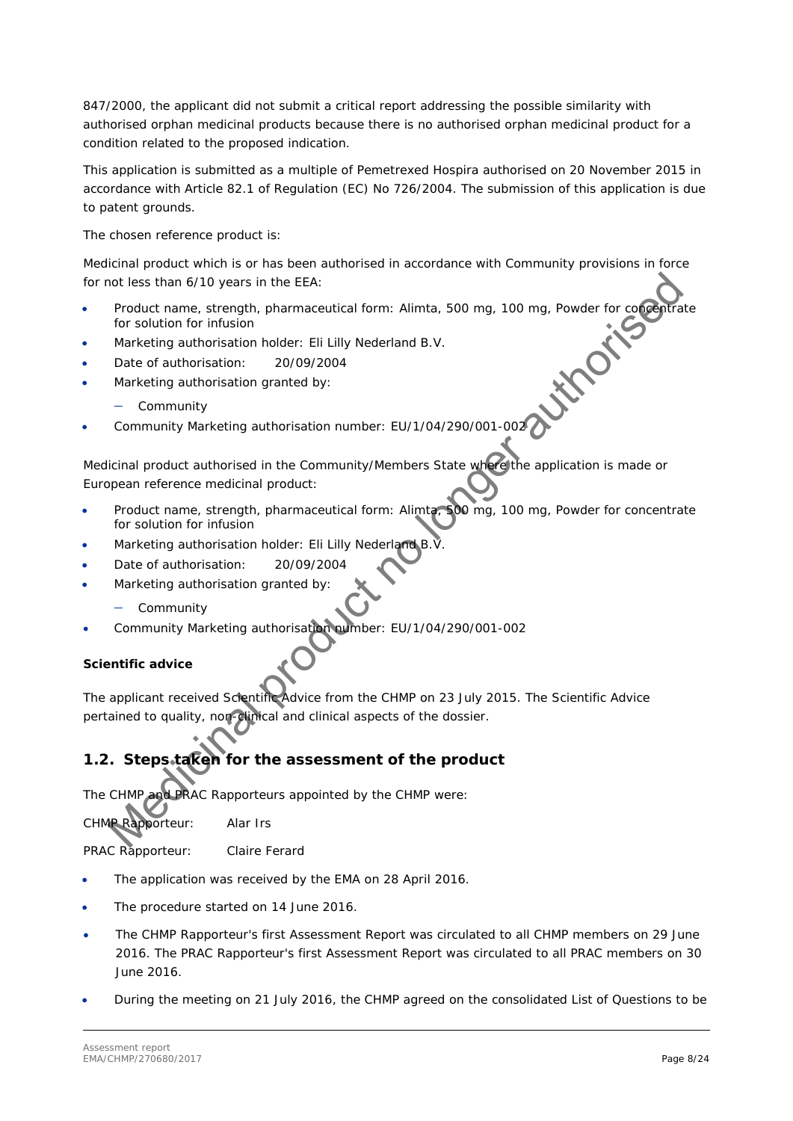847/2000, the applicant did not submit a critical report addressing the possible similarity with authorised orphan medicinal products because there is no authorised orphan medicinal product for a condition related to the proposed indication.

This application is submitted as a multiple of Pemetrexed Hospira authorised on 20 November 2015 in accordance with Article 82.1 of Regulation (EC) No 726/2004. The submission of this application is due to patent grounds.

The chosen reference product is:

Medicinal product which is or has been authorised in accordance with Community provisions in force for not less than 6/10 years in the EEA:

- Product name, strength, pharmaceutical form: Alimta, 500 mg, 100 mg, Powder for concentrate<br>for solution for infusion<br>Marketing authorisation holder: Eli Lilly Nederland B.V.<br>Date of authorisation: 20/09/2004<br>Marketing aut for solution for infusion
- Marketing authorisation holder: Eli Lilly Nederland B.V.
- Date of authorisation: 20/09/2004
- Marketing authorisation granted by:
	- − Community
- Community Marketing authorisation number: EU/1/04/290/001-002

Medicinal product authorised in the Community/Members State where the application is made or European reference medicinal product: not less than 6/10 years in the EEA:<br>
Product none, strength, pharmaceutical form: Alimta, 500 mg, 100 mg, Powder for comparing<br>
for solution for infusion<br>
Marketing authorisation: 2009/2004<br>
Marketing authorisation: 2009

- Product name, strength, pharmaceutical form: Alimta, 500 mg, 100 mg, Powder for concentrate for solution for infusion
- Marketing authorisation holder: Eli Lilly Nederland B.V
- Date of authorisation: 20/09/2004
- Marketing authorisation granted by:
	- − Community
- Community Marketing authorisation number: EU/1/04/290/001-002

### *Scientific advice*

The applicant received Scientific Advice from the CHMP on 23 July 2015. The Scientific Advice pertained to quality, non-clinical and clinical aspects of the dossier.

# <span id="page-7-0"></span>*1.2. Steps taken for the assessment of the product*

The CHMP and PRAC Rapporteurs appointed by the CHMP were:

CHMP Rapporteur: Alar Irs

PRAC Rapporteur: Claire Ferard

- The application was received by the EMA on 28 April 2016.
- The procedure started on 14 June 2016.
- The CHMP Rapporteur's first Assessment Report was circulated to all CHMP members on 29 June 2016. The PRAC Rapporteur's first Assessment Report was circulated to all PRAC members on 30 June 2016.
- During the meeting on 21 July 2016, the CHMP agreed on the consolidated List of Questions to be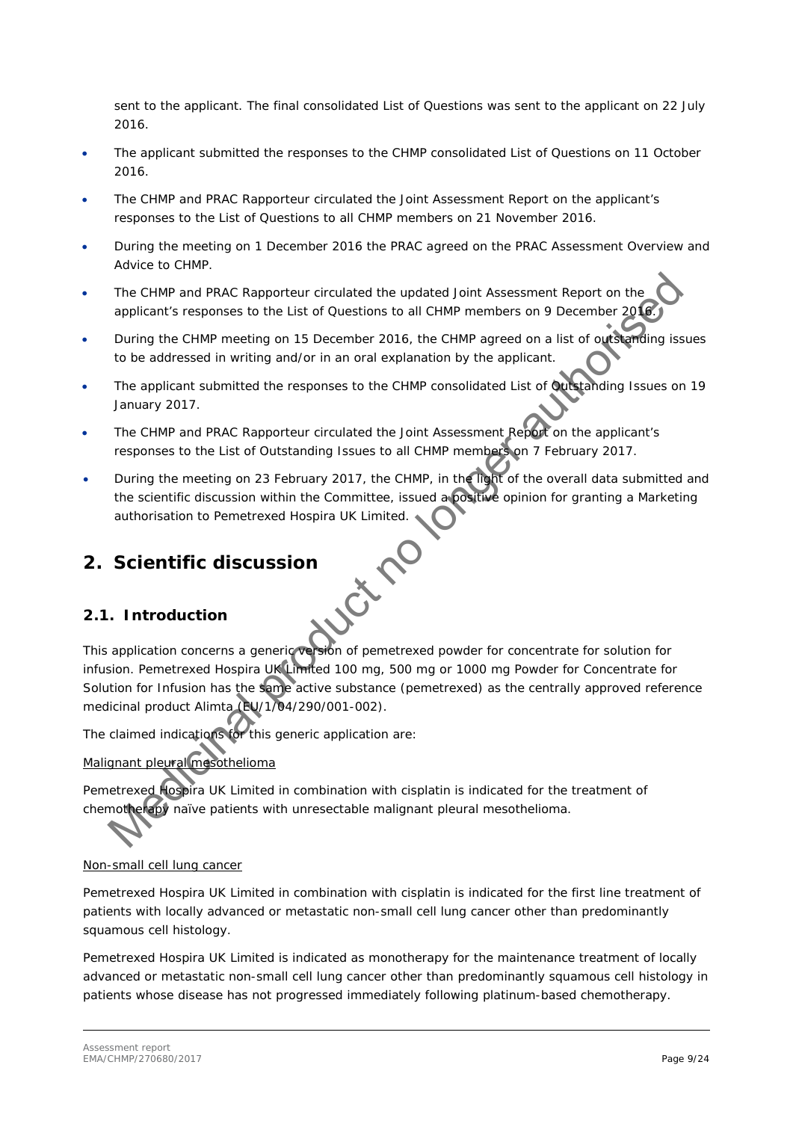sent to the applicant. The final consolidated List of Questions was sent to the applicant on 22 July 2016.

- The applicant submitted the responses to the CHMP consolidated List of Questions on 11 October 2016.
- The CHMP and PRAC Rapporteur circulated the Joint Assessment Report on the applicant's responses to the List of Questions to all CHMP members on 21 November 2016.
- During the meeting on 1 December 2016 the PRAC agreed on the PRAC Assessment Overview and Advice to CHMP.
- The CHMP and PRAC Rapporteur circulated the updated Joint Assessment Report on the applicant's responses to the List of Questions to all CHMP members on 9 December 2016
- During the CHMP meeting on 15 December 2016, the CHMP agreed on a list of outstanding issues to be addressed in writing and/or in an oral explanation by the applicant.
- The applicant submitted the responses to the CHMP consolidated List of Quistanding Issues on 19 January 2017.
- The CHMP and PRAC Rapporteur circulated the Joint Assessment Report on the applicant's responses to the List of Outstanding Issues to all CHMP members on 7 February 2017.
- During the meeting on 23 February 2017, the CHMP, in the light of the overall data submitted and the scientific discussion within the Committee, issued a positive opinion for granting a Marketing authorisation to Pemetrexed Hospira UK Limited.

# <span id="page-8-0"></span>**2. Scientific discussion**

### <span id="page-8-1"></span>*2.1. Introduction*

This application concerns a generic version of pemetrexed powder for concentrate for solution for infusion. Pemetrexed Hospira UK Limited 100 mg, 500 mg or 1000 mg Powder for Concentrate for Solution for Infusion has the same active substance (pemetrexed) as the centrally approved reference medicinal product Alimta (EU/1/04/290/001-002). The CHMP and PRAC Rapporteur circulated the updated Joint Assessment Report on the applicant's responses to the List of Questions to all CHMP members on 9 December 200<br>
During the CHMP members on 15 December 2016, the CHM

The claimed indications for this generic application are:

### *Malignant pleural mesothelioma*

Pemetrexed Hospira UK Limited in combination with cisplatin is indicated for the treatment of chemotherapy naïve patients with unresectable malignant pleural mesothelioma.

### *Non-small cell lung cancer*

Pemetrexed Hospira UK Limited in combination with cisplatin is indicated for the first line treatment of patients with locally advanced or metastatic non-small cell lung cancer other than predominantly squamous cell histology.

Pemetrexed Hospira UK Limited is indicated as monotherapy for the maintenance treatment of locally advanced or metastatic non-small cell lung cancer other than predominantly squamous cell histology in patients whose disease has not progressed immediately following platinum-based chemotherapy.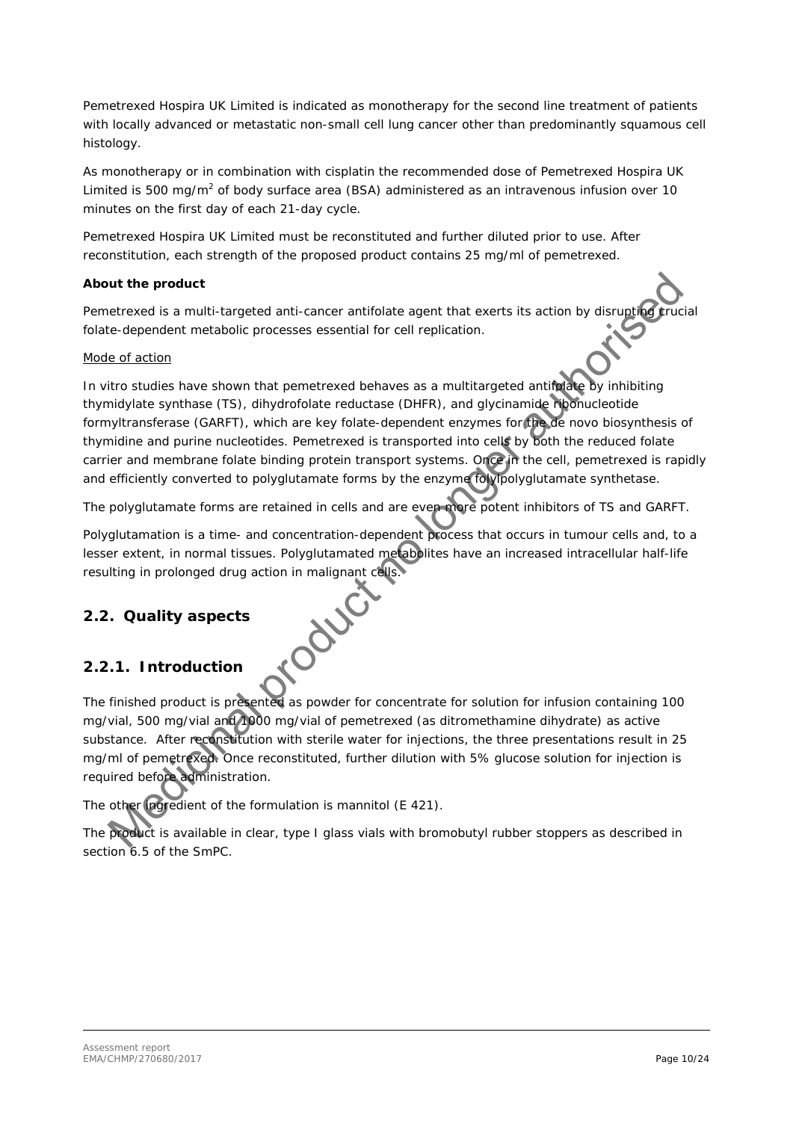Pemetrexed Hospira UK Limited is indicated as monotherapy for the second line treatment of patients with locally advanced or metastatic non-small cell lung cancer other than predominantly squamous cell histology.

As monotherapy or in combination with cisplatin the recommended dose of Pemetrexed Hospira UK Limited is 500 mg/m<sup>2</sup> of body surface area (BSA) administered as an intravenous infusion over 10 minutes on the first day of each 21-day cycle.

Pemetrexed Hospira UK Limited must be reconstituted and further diluted prior to use. After reconstitution, each strength of the proposed product contains 25 mg/ml of pemetrexed.

### *About the product*

Pemetrexed is a multi-targeted anti-cancer antifolate agent that exerts its action by disrupting trucial folate-dependent metabolic processes essential for cell replication.

### *Mode of action*

*In vitro* studies have shown that pemetrexed behaves as a multitargeted antifolate by inhibiting thymidylate synthase (TS), dihydrofolate reductase (DHFR), and glycinamide ribonucleotide formyltransferase (GARFT), which are key folate-dependent enzymes for the de novo biosynthesis of thymidine and purine nucleotides. Pemetrexed is transported into cells by both the reduced folate carrier and membrane folate binding protein transport systems. Once in the cell, pemetrexed is rapidly and efficiently converted to polyglutamate forms by the enzyme folylpolyglutamate synthetase. nut the product<br>telensed is a multi-largeted anti-cancer antifolate agent that exerts its action by disrugging<br>the-energentent metabolic processes essential for cell replication.<br> *E. Graction*<br> *Mro* studies have shown th

The polyglutamate forms are retained in cells and are even more potent inhibitors of TS and GARFT.

Polyglutamation is a time- and concentration-dependent process that occurs in tumour cells and, to a lesser extent, in normal tissues. Polyglutamated metabolites have an increased intracellular half-life resulting in prolonged drug action in malignant cells.<br>
2.2. Quality aspects<br>
2.2.1. Intressing and the same spectrum of the same spectrum of the same spectrum of the same spectrum of the same spectrum of the spectrum of t

### <span id="page-9-0"></span>*2.2. Quality aspects*

### <span id="page-9-1"></span>**2.2.1. Introduction**

The finished product is presented as powder for concentrate for solution for infusion containing 100 mg/vial, 500 mg/vial and 1000 mg/vial of pemetrexed (as ditromethamine dihydrate) as active substance. After reconstitution with sterile water for injections, the three presentations result in 25 mg/ml of pemetrexed. Once reconstituted, further dilution with 5% glucose solution for injection is required before administration.

The other ingredient of the formulation is mannitol (E 421).

The product is available in clear, type I glass vials with bromobutyl rubber stoppers as described in section 6.5 of the SmPC.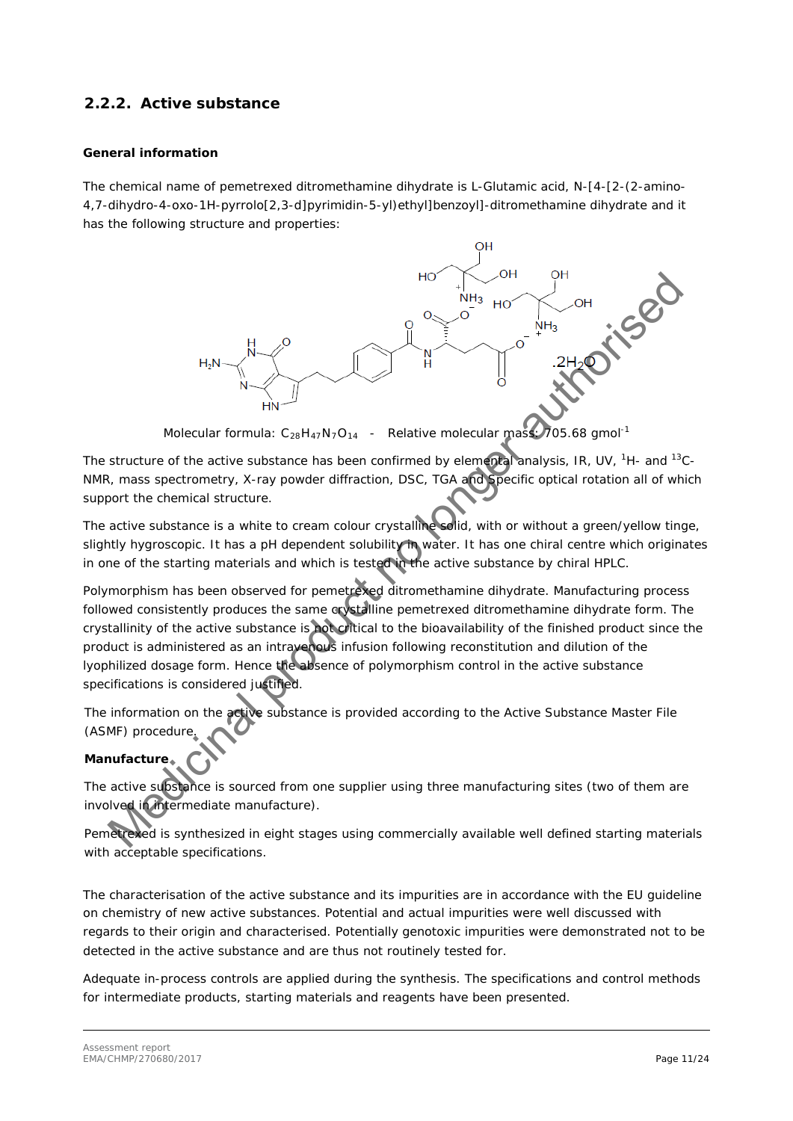### <span id="page-10-0"></span>**2.2.2. Active substance**

### *General information*

The chemical name of pemetrexed ditromethamine dihydrate is L-Glutamic acid, N-[4-[2-(2-amino-4,7-dihydro-4-oxo-1H-pyrrolo[2,3-d]pyrimidin-5-yl)ethyl]benzoyl]-ditromethamine dihydrate and it has the following structure and properties:



Molecular formula:  $C_{28}H_{47}N_7O_{14}$  - Relative molecular mass: 705.68 gmol<sup>-1</sup>

The structure of the active substance has been confirmed by elemental analysis, IR, UV, <sup>1</sup>H- and <sup>13</sup>C-NMR, mass spectrometry, X-ray powder diffraction, DSC, TGA and Specific optical rotation all of which support the chemical structure.

The active substance is a white to cream colour crystalline solid, with or without a green/yellow tinge, slightly hygroscopic. It has a pH dependent solubility in water. It has one chiral centre which originates in one of the starting materials and which is tested in the active substance by chiral HPLC.

Polymorphism has been observed for pemetrexed ditromethamine dihydrate. Manufacturing process followed consistently produces the same crystalline pemetrexed ditromethamine dihydrate form. The crystallinity of the active substance is not critical to the bioavailability of the finished product since the product is administered as an intravenous infusion following reconstitution and dilution of the lyophilized dosage form. Hence the absence of polymorphism control in the active substance specifications is considered justified.

The information on the active substance is provided according to the Active Substance Master File (ASMF) procedur

### *Manufacture*

The active substance is sourced from one supplier using three manufacturing sites (two of them are involved in intermediate manufacture).

Pemetrexed is synthesized in eight stages using commercially available well defined starting materials with acceptable specifications.

The characterisation of the active substance and its impurities are in accordance with the EU guideline on chemistry of new active substances. Potential and actual impurities were well discussed with regards to their origin and characterised. Potentially genotoxic impurities were demonstrated not to be detected in the active substance and are thus not routinely tested for.

Adequate in-process controls are applied during the synthesis. The specifications and control methods for intermediate products, starting materials and reagents have been presented.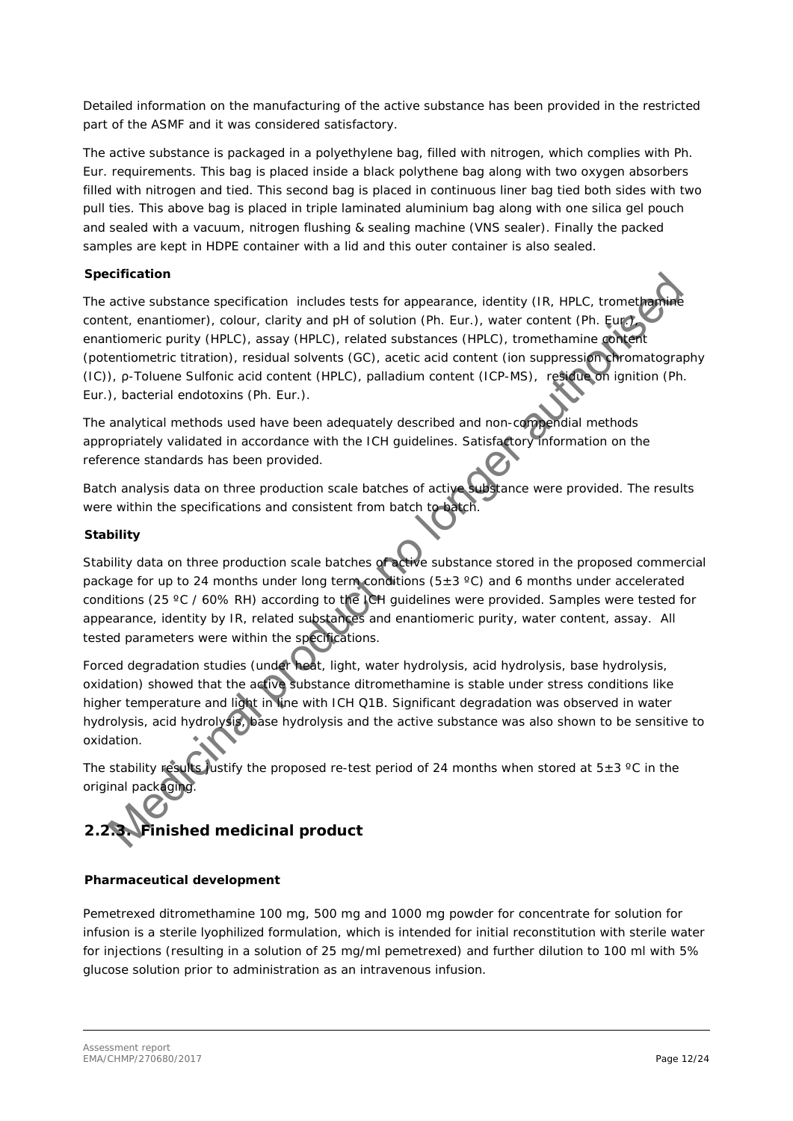Detailed information on the manufacturing of the active substance has been provided in the restricted part of the ASMF and it was considered satisfactory.

The active substance is packaged in a polyethylene bag, filled with nitrogen, which complies with Ph. Eur. requirements. This bag is placed inside a black polythene bag along with two oxygen absorbers filled with nitrogen and tied. This second bag is placed in continuous liner bag tied both sides with two pull ties. This above bag is placed in triple laminated aluminium bag along with one silica gel pouch and sealed with a vacuum, nitrogen flushing & sealing machine (VNS sealer). Finally the packed samples are kept in HDPE container with a lid and this outer container is also sealed.

### *Specification*

The active substance specification includes tests for appearance, identity (IR, HPLC, tromethangle content, enantiomer), colour, clarity and pH of solution (Ph. Eur.), water content (Ph. Eur.), enantiomeric purity (HPLC), assay (HPLC), related substances (HPLC), tromethamine content (potentiometric titration), residual solvents (GC), acetic acid content (ion suppression chromatography (IC)), ρ-Toluene Sulfonic acid content (HPLC), palladium content (ICP-MS), residue on ignition (Ph. Eur.), bacterial endotoxins (Ph. Eur.). citrication<br>active substance specification includes tests for appearance, identity (IR, HPLC, tromethorm-<br>contriculations (contriguent), colour, clarity and pH of solution (Ph. Eur.), water content (Ph. Europearance), colo

The analytical methods used have been adequately described and non-compendial methods appropriately validated in accordance with the ICH guidelines. Satisfactory information on the reference standards has been provided.

Batch analysis data on three production scale batches of active substance were provided. The results were within the specifications and consistent from batch to batch.

### *Stability*

Stability data on three production scale batches of active substance stored in the proposed commercial package for up to 24 months under long term conditions (5 $\pm$ 3 °C) and 6 months under accelerated conditions (25 ºC / 60% RH) according to the ICH guidelines were provided. Samples were tested for appearance, identity by IR, related substances and enantiomeric purity, water content, assay. All tested parameters were within the specifications.

Forced degradation studies (under heat, light, water hydrolysis, acid hydrolysis, base hydrolysis, oxidation) showed that the active substance ditromethamine is stable under stress conditions like higher temperature and light in line with ICH Q1B. Significant degradation was observed in water hydrolysis, acid hydrolysis, base hydrolysis and the active substance was also shown to be sensitive to oxidation.

The stability results justify the proposed re-test period of 24 months when stored at  $5\pm3$  °C in the original packaging.

# <span id="page-11-0"></span>**2.2.3. Finished medicinal product**

### *Pharmaceutical development*

Pemetrexed ditromethamine 100 mg, 500 mg and 1000 mg powder for concentrate for solution for infusion is a sterile lyophilized formulation, which is intended for initial reconstitution with sterile water for injections (resulting in a solution of 25 mg/ml pemetrexed) and further dilution to 100 ml with 5% glucose solution prior to administration as an intravenous infusion.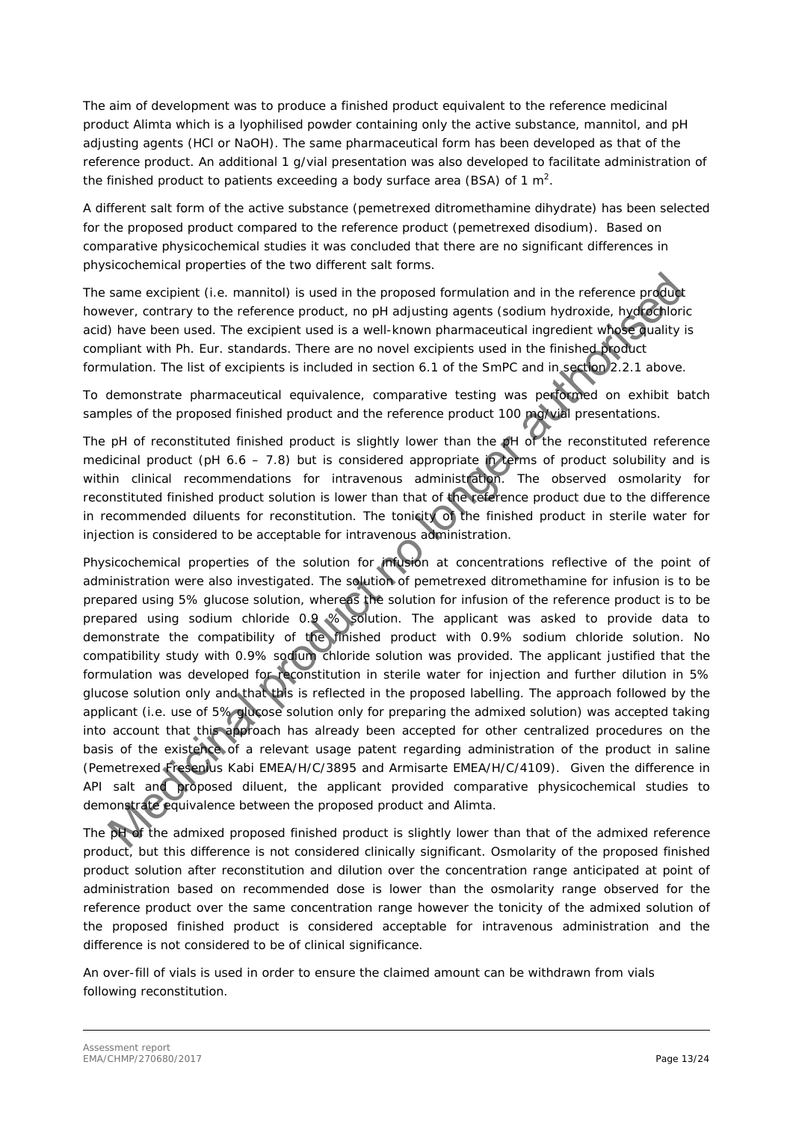The aim of development was to produce a finished product equivalent to the reference medicinal product Alimta which is a lyophilised powder containing only the active substance, mannitol, and pH adjusting agents (HCl or NaOH). The same pharmaceutical form has been developed as that of the reference product. An additional 1 g/vial presentation was also developed to facilitate administration of the finished product to patients exceeding a body surface area (BSA) of 1  $m^2$ .

A different salt form of the active substance (pemetrexed ditromethamine dihydrate) has been selected for the proposed product compared to the reference product (pemetrexed disodium). Based on comparative physicochemical studies it was concluded that there are no significant differences in physicochemical properties of the two different salt forms.

The same excipient (i.e. mannitol) is used in the proposed formulation and in the reference product however, contrary to the reference product, no pH adjusting agents (sodium hydroxide, hydrochloric acid) have been used. The excipient used is a well-known pharmaceutical ingredient whose quality is compliant with Ph. Eur. standards. There are no novel excipients used in the finished product formulation. The list of excipients is included in section 6.1 of the SmPC and in section 2.2.1 above.

To demonstrate pharmaceutical equivalence, comparative testing was performed on exhibit batch samples of the proposed finished product and the reference product 100 mg/vial presentations.

The pH of reconstituted finished product is slightly lower than the pH of the reconstituted reference medicinal product (pH 6.6 – 7.8) but is considered appropriate in terms of product solubility and is within clinical recommendations for intravenous administration. The observed osmolarity for reconstituted finished product solution is lower than that of the reference product due to the difference in recommended diluents for reconstitution. The tonicity of the finished product in sterile water for injection is considered to be acceptable for intravenous administration.

Physicochemical properties of the solution for infusion at concentrations reflective of the point of administration were also investigated. The solution of pemetrexed ditromethamine for infusion is to be prepared using 5% glucose solution, whereas the solution for infusion of the reference product is to be prepared using sodium chloride 0.9 % solution. The applicant was asked to provide data to demonstrate the compatibility of the finished product with 0.9% sodium chloride solution. No compatibility study with 0.9% sodium chloride solution was provided. The applicant justified that the formulation was developed for reconstitution in sterile water for injection and further dilution in 5% glucose solution only and that this is reflected in the proposed labelling. The approach followed by the applicant (i.e. use of 5% glucose solution only for preparing the admixed solution) was accepted taking into account that this approach has already been accepted for other centralized procedures on the basis of the existence of a relevant usage patent regarding administration of the product in saline (Pemetrexed Fresenius Kabi EMEA/H/C/3895 and Armisarte EMEA/H/C/4109). Given the difference in API salt and proposed diluent, the applicant provided comparative physicochemical studies to demonstrate equivalence between the proposed product and Alimta. same excipient (i.e. mannitol) is used in the proposed formulation and in the reference production-<br>were, contrary to the reference product, no pH adjusting agents (sodium hydroxide, hydroxide) have been used. The excipie

The pH of the admixed proposed finished product is slightly lower than that of the admixed reference product, but this difference is not considered clinically significant. Osmolarity of the proposed finished product solution after reconstitution and dilution over the concentration range anticipated at point of administration based on recommended dose is lower than the osmolarity range observed for the reference product over the same concentration range however the tonicity of the admixed solution of the proposed finished product is considered acceptable for intravenous administration and the difference is not considered to be of clinical significance.

An over-fill of vials is used in order to ensure the claimed amount can be withdrawn from vials following reconstitution.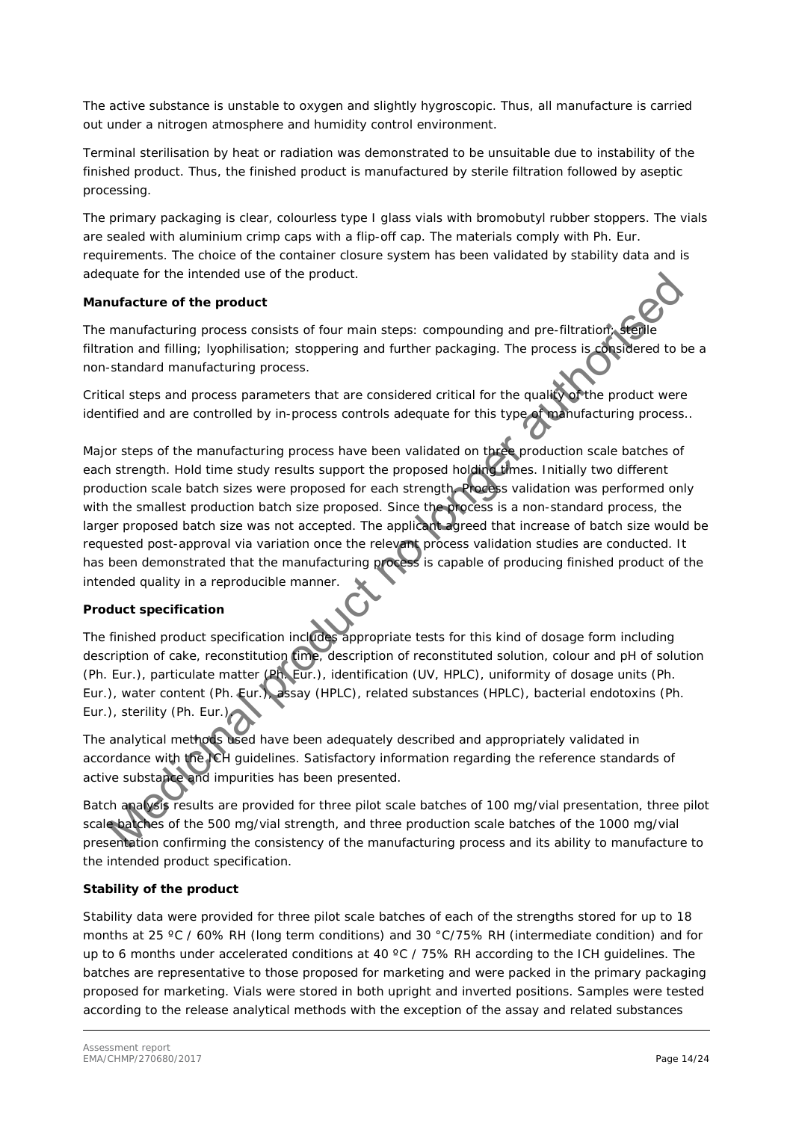The active substance is unstable to oxygen and slightly hygroscopic. Thus, all manufacture is carried out under a nitrogen atmosphere and humidity control environment.

Terminal sterilisation by heat or radiation was demonstrated to be unsuitable due to instability of the finished product. Thus, the finished product is manufactured by sterile filtration followed by aseptic processing.

The primary packaging is clear, colourless type I glass vials with bromobutyl rubber stoppers. The vials are sealed with aluminium crimp caps with a flip-off cap. The materials comply with Ph. Eur. requirements. The choice of the container closure system has been validated by stability data and is adequate for the intended use of the product.

### *Manufacture of the product*

The manufacturing process consists of four main steps: compounding and pre-filtration; sterile filtration and filling; lyophilisation; stoppering and further packaging. The process is considered to be a non-standard manufacturing process.

Critical steps and process parameters that are considered critical for the quality of the product were identified and are controlled by in-process controls adequate for this type of manufacturing process..

Major steps of the manufacturing process have been validated on three production scale batches of each strength. Hold time study results support the proposed holding times. Initially two different production scale batch sizes were proposed for each strength. Process validation was performed only with the smallest production batch size proposed. Since the process is a non-standard process, the larger proposed batch size was not accepted. The applicant agreed that increase of batch size would be requested post-approval via variation once the relevant process validation studies are conducted. It has been demonstrated that the manufacturing process is capable of producing finished product of the intended quality in a reproducible manner. quate for the intended use of the product.<br>
Intendential process consists of four main steps: compounding and pre-filtration and miling inconsists of four main steps: compounding and pre-filtration and miling incorrections

### *Product specification*

The finished product specification includes appropriate tests for this kind of dosage form including description of cake, reconstitution time, description of reconstituted solution, colour and pH of solution (Ph. Eur.), particulate matter (Ph. Eur.), identification (UV, HPLC), uniformity of dosage units (Ph. Eur.), water content (Ph. Eur.), assay (HPLC), related substances (HPLC), bacterial endotoxins (Ph. Eur.), sterility (Ph. Eur.).

The analytical methods used have been adequately described and appropriately validated in accordance with the ICH guidelines. Satisfactory information regarding the reference standards of active substance and impurities has been presented.

Batch analysis results are provided for three pilot scale batches of 100 mg/vial presentation, three pilot scale batches of the 500 mg/vial strength, and three production scale batches of the 1000 mg/vial presentation confirming the consistency of the manufacturing process and its ability to manufacture to the intended product specification.

### *Stability of the product*

Stability data were provided for three pilot scale batches of each of the strengths stored for up to 18 months at 25 °C / 60% RH (long term conditions) and 30 °C/75% RH (intermediate condition) and for up to 6 months under accelerated conditions at 40 °C / 75% RH according to the ICH guidelines. The batches are representative to those proposed for marketing and were packed in the primary packaging proposed for marketing. Vials were stored in both upright and inverted positions. Samples were tested according to the release analytical methods with the exception of the assay and related substances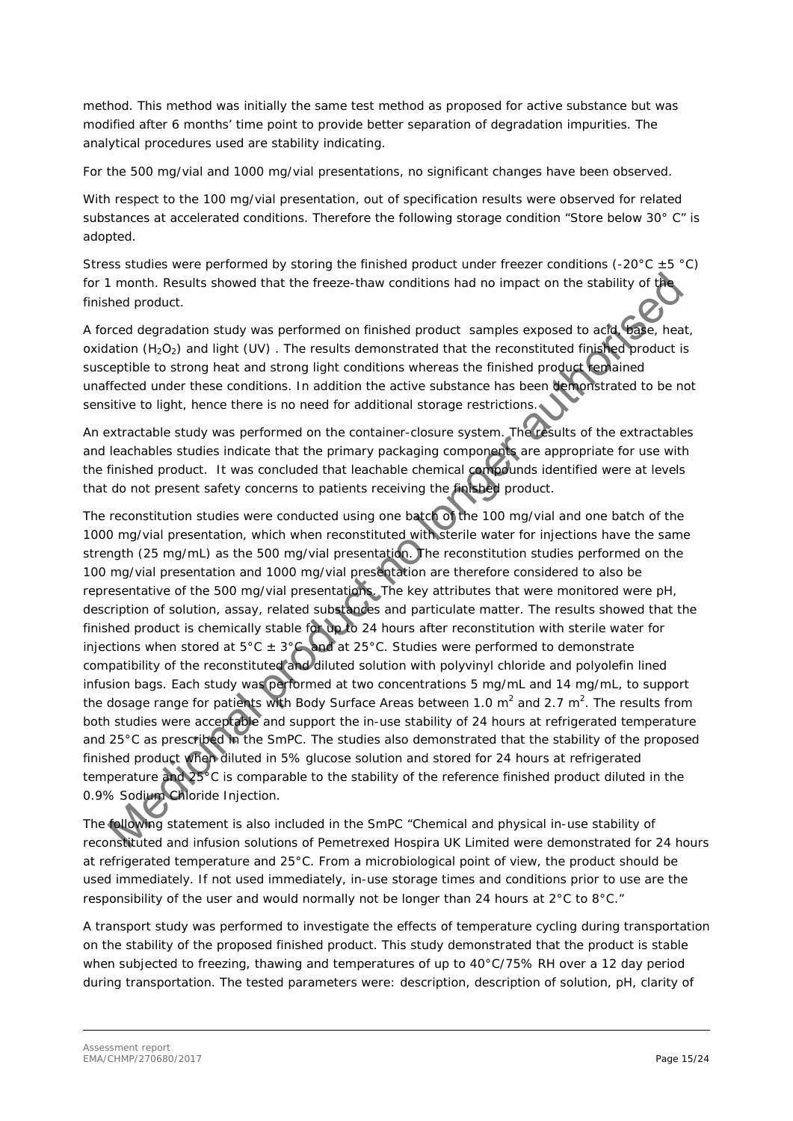method. This method was initially the same test method as proposed for active substance but was modified after 6 months' time point to provide better separation of degradation impurities. The analytical procedures used are stability indicating.

For the 500 mg/vial and 1000 mg/vial presentations, no significant changes have been observed.

With respect to the 100 mg/vial presentation, out of specification results were observed for related substances at accelerated conditions. Therefore the following storage condition "Store below 30° C" is adopted.

Stress studies were performed by storing the finished product under freezer conditions (-20 $^{\circ}$ C  $\pm$  5  $^{\circ}$ C) for 1 month. Results showed that the freeze-thaw conditions had no impact on the stability of the finished product.

A forced degradation study was performed on finished product samples exposed to acid, base, heat, oxidation (H<sub>2</sub>O<sub>2</sub>) and light (UV). The results demonstrated that the reconstituted finished product is susceptible to strong heat and strong light conditions whereas the finished product remained unaffected under these conditions. In addition the active substance has been demonstrated to be not sensitive to light, hence there is no need for additional storage restrictions.

An extractable study was performed on the container-closure system. The results of the extractables and leachables studies indicate that the primary packaging components are appropriate for use with the finished product. It was concluded that leachable chemical compounds identified were at levels that do not present safety concerns to patients receiving the finished product.

The reconstitution studies were conducted using one batch of the 100 mg/vial and one batch of the 1000 mg/vial presentation, which when reconstituted with sterile water for injections have the same strength (25 mg/mL) as the 500 mg/vial presentation. The reconstitution studies performed on the 100 mg/vial presentation and 1000 mg/vial presentation are therefore considered to also be representative of the 500 mg/vial presentations. The key attributes that were monitored were pH, description of solution, assay, related substances and particulate matter. The results showed that the finished product is chemically stable for up to 24 hours after reconstitution with sterile water for injections when stored at  $5^{\circ}$ C  $\pm$  3°C and at 25°C. Studies were performed to demonstrate compatibility of the reconstituted and diluted solution with polyvinyl chloride and polyolefin lined infusion bags. Each study was performed at two concentrations 5 mg/mL and 14 mg/mL, to support the dosage range for patients with Body Surface Areas between 1.0 m<sup>2</sup> and 2.7 m<sup>2</sup>. The results from both studies were acceptable and support the in-use stability of 24 hours at refrigerated temperature and 25°C as prescribed in the SmPC. The studies also demonstrated that the stability of the proposed finished product when diluted in 5% glucose solution and stored for 24 hours at refrigerated temperature and 25°C is comparable to the stability of the reference finished product diluted in the 0.9% Sodium Chloride Injection. It month. Results showed that the freeze-thaw conditions had no impact on the stability of the<br>read degradation study was performed on finished product samples exposed to add wise, he<br>celus degradation study was performed

The following statement is also included in the SmPC "Chemical and physical in-use stability of reconstituted and infusion solutions of Pemetrexed Hospira UK Limited were demonstrated for 24 hours at refrigerated temperature and 25°C. From a microbiological point of view, the product should be used immediately. If not used immediately, in-use storage times and conditions prior to use are the responsibility of the user and would normally not be longer than 24 hours at 2°C to 8°C."

A transport study was performed to investigate the effects of temperature cycling during transportation on the stability of the proposed finished product. This study demonstrated that the product is stable when subjected to freezing, thawing and temperatures of up to 40°C/75% RH over a 12 day period during transportation. The tested parameters were: description, description of solution, pH, clarity of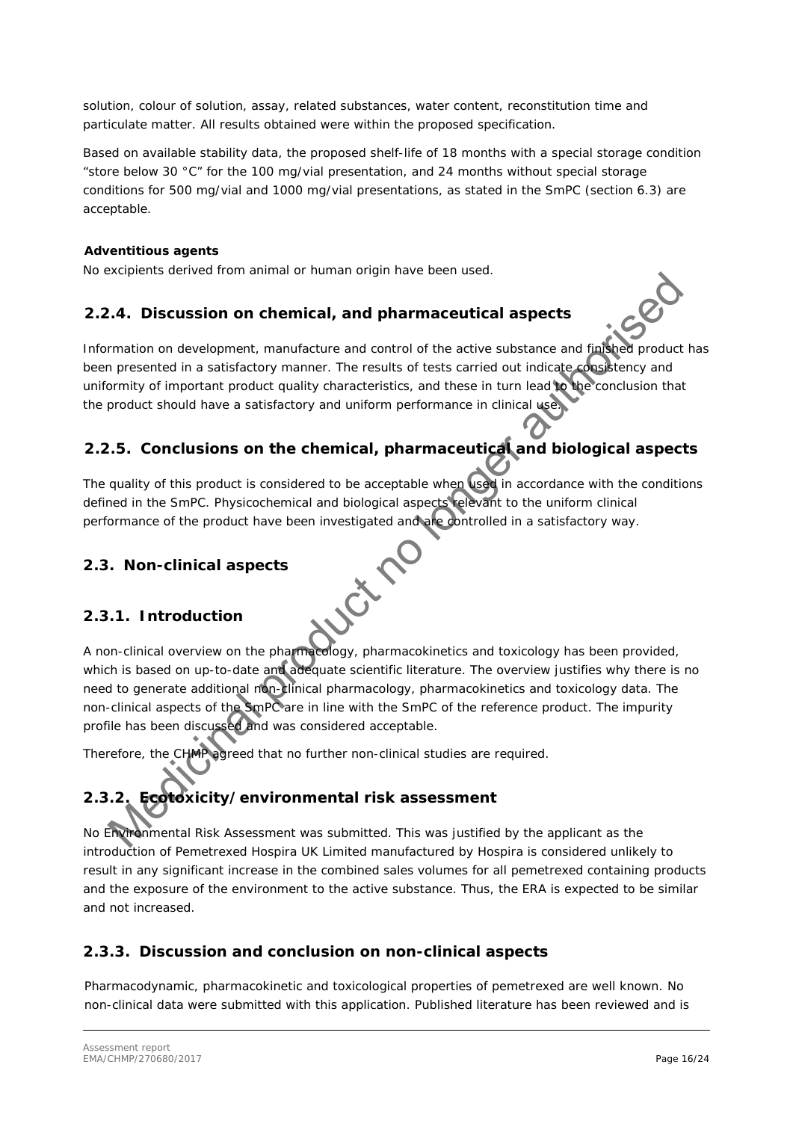solution, colour of solution, assay, related substances, water content, reconstitution time and particulate matter. All results obtained were within the proposed specification.

Based on available stability data, the proposed shelf-life of 18 months with a special storage condition "store below 30 °C" for the 100 mg/vial presentation, and 24 months without special storage conditions for 500 mg/vial and 1000 mg/vial presentations, as stated in the SmPC (section 6.3) are acceptable.

### *Adventitious agents*

No excipients derived from animal or human origin have been used.

### **2.2.4. Discussion on chemical, and pharmaceutical aspects**

Information on development, manufacture and control of the active substance and finished product has been presented in a satisfactory manner. The results of tests carried out indicate consistency and uniformity of important product quality characteristics, and these in turn lead to the conclusion that the product should have a satisfactory and uniform performance in clinical use.

## <span id="page-15-1"></span>**2.2.5. Conclusions on the chemical, pharmaceutical and biological aspects**

The quality of this product is considered to be acceptable when used in accordance with the conditions defined in the SmPC. Physicochemical and biological aspects relevant to the uniform clinical performance of the product have been investigated and are controlled in a satisfactory way.

### <span id="page-15-2"></span>*2.3. Non-clinical aspects*

### <span id="page-15-3"></span>**2.3.1. Introduction**

<span id="page-15-0"></span>A non-clinical overview on the pharmacology, pharmacokinetics and toxicology has been provided, which is based on up-to-date and adequate scientific literature. The overview justifies why there is no need to generate additional non-clinical pharmacology, pharmacokinetics and toxicology data. The non-clinical aspects of the SmPC are in line with the SmPC of the reference product. The impurity profile has been discussed and was considered acceptable. Methema various montraining of human originalize cent vaca.<br>
A. **A.** Discussion on chemical, and pharmaceutical aspects<br>
mation on development, manufacture and control of the active substance and figure product<br>
provident

Therefore, the CHMP agreed that no further non-clinical studies are required.

# <span id="page-15-4"></span>**2.3.2. Ecotoxicity/environmental risk assessment**

No Environmental Risk Assessment was submitted. This was justified by the applicant as the introduction of Pemetrexed Hospira UK Limited manufactured by Hospira is considered unlikely to result in any significant increase in the combined sales volumes for all pemetrexed containing products and the exposure of the environment to the active substance. Thus, the ERA is expected to be similar and not increased.

### <span id="page-15-5"></span>**2.3.3. Discussion and conclusion on non-clinical aspects**

Pharmacodynamic, pharmacokinetic and toxicological properties of pemetrexed are well known. No non-clinical data were submitted with this application. Published literature has been reviewed and is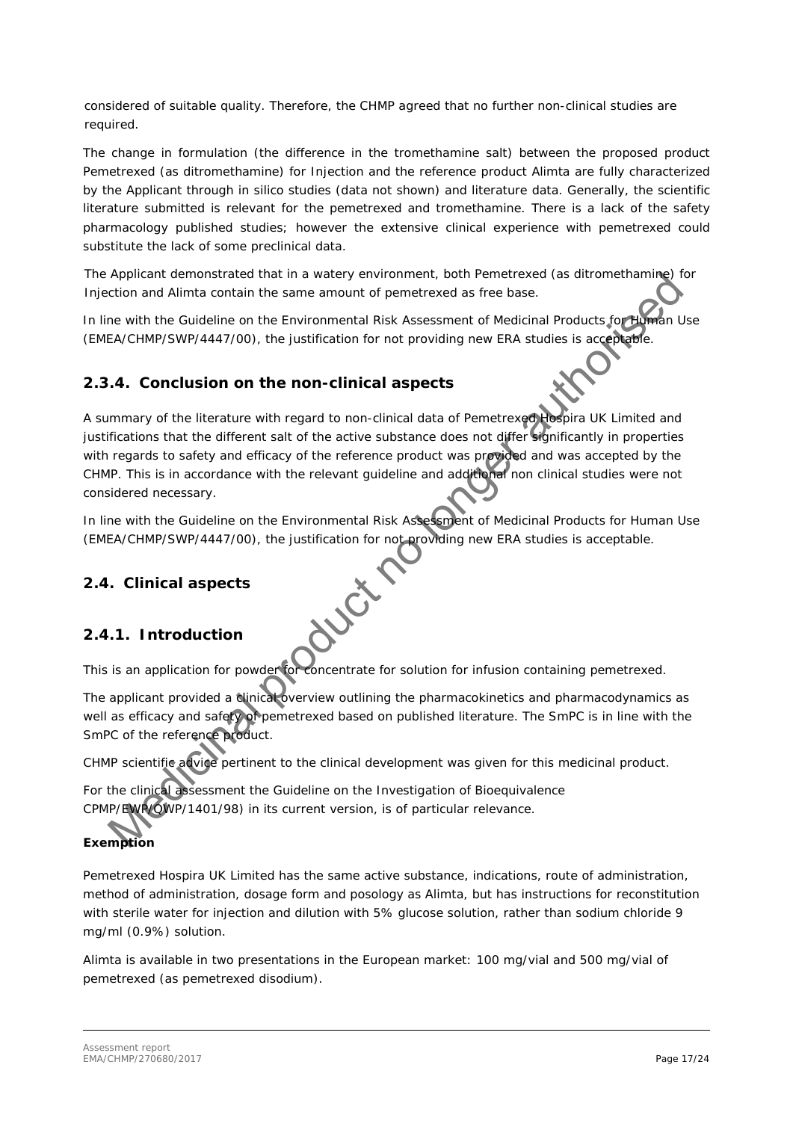considered of suitable quality. Therefore, the CHMP agreed that no further non-clinical studies are required.

The change in formulation (the difference in the tromethamine salt) between the proposed product Pemetrexed (as ditromethamine) for Injection and the reference product Alimta are fully characterized by the Applicant through in silico studies (data not shown) and literature data. Generally, the scientific literature submitted is relevant for the pemetrexed and tromethamine. There is a lack of the safety pharmacology published studies; however the extensive clinical experience with pemetrexed could substitute the lack of some preclinical data.

The Applicant demonstrated that in a watery environment, both Pemetrexed (as ditromethamine) for Injection and Alimta contain the same amount of pemetrexed as free base.

In line with the Guideline on the Environmental Risk Assessment of Medicinal Products for Human Use (EMEA/CHMP/SWP/4447/00), the justification for not providing new ERA studies is acceptable.

### <span id="page-16-0"></span>**2.3.4. Conclusion on the non-clinical aspects**

A summary of the literature with regard to non-clinical data of Pemetrexed Hospira UK Limited and justifications that the different salt of the active substance does not differ significantly in properties with regards to safety and efficacy of the reference product was provided and was accepted by the CHMP. This is in accordance with the relevant guideline and additional non clinical studies were not considered necessary. Application demonstrated that in a watery environment, both Pemetrexed (as distormethamine)<br>Action and Allinta contain the same amount of pemetrexed as free base.<br>
Ten evith the Guideline on the Environmental Risk Assessme

In line with the Guideline on the Environmental Risk Assessment of Medicinal Products for Human Use (EMEA/CHMP/SWP/4447/00), the justification for not providing new ERA studies is acceptable.

### <span id="page-16-1"></span>*2.4. Clinical aspects*

### <span id="page-16-2"></span>**2.4.1. Introduction**

This is an application for powder for concentrate for solution for infusion containing pemetrexed.

The applicant provided a clinical overview outlining the pharmacokinetics and pharmacodynamics as well as efficacy and safety of pemetrexed based on published literature. The SmPC is in line with the SmPC of the reference product.

CHMP scientific advice pertinent to the clinical development was given for this medicinal product.

For the clinical assessment the Guideline on the Investigation of Bioequivalence CPMP/EWP/QWP/1401/98) in its current version, is of particular relevance.

### *Exemption*

Pemetrexed Hospira UK Limited has the same active substance, indications, route of administration, method of administration, dosage form and posology as Alimta, but has instructions for reconstitution with sterile water for injection and dilution with 5% glucose solution, rather than sodium chloride 9 mg/ml (0.9%) solution.

Alimta is available in two presentations in the European market: 100 mg/vial and 500 mg/vial of pemetrexed (as pemetrexed disodium).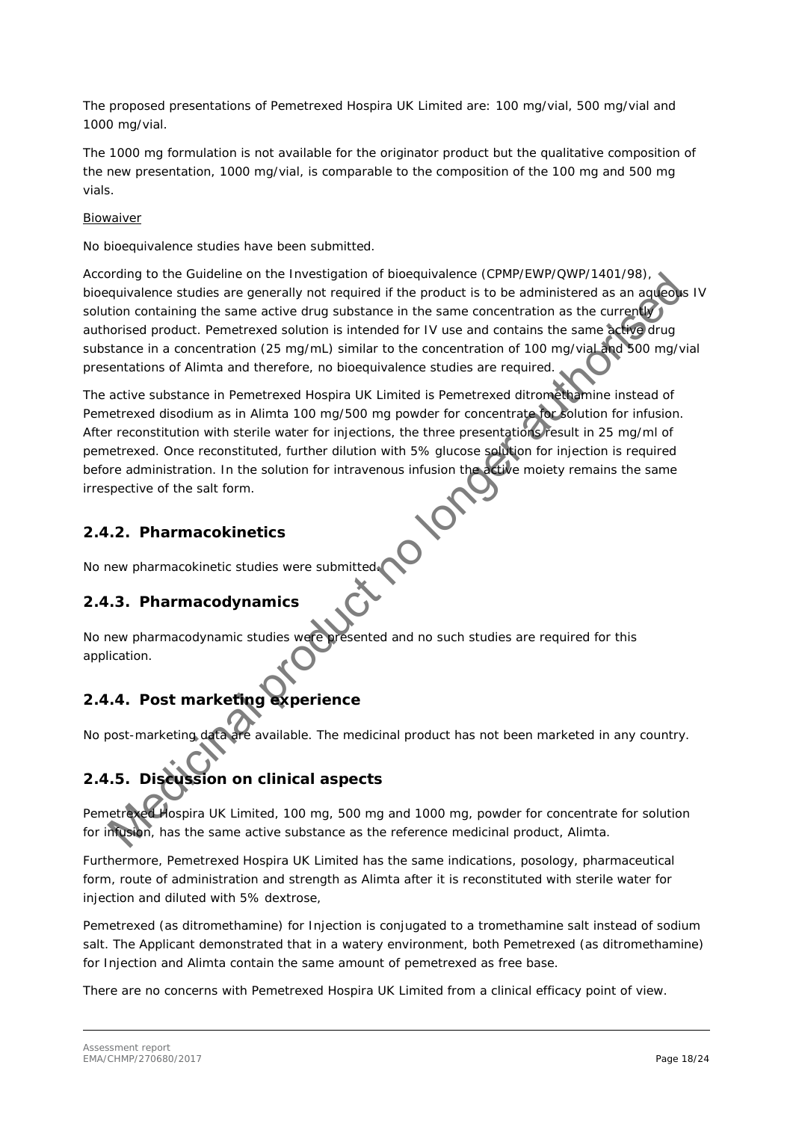The proposed presentations of Pemetrexed Hospira UK Limited are: 100 mg/vial, 500 mg/vial and 1000 mg/vial.

The 1000 mg formulation is not available for the originator product but the qualitative composition of the new presentation, 1000 mg/vial, is comparable to the composition of the 100 mg and 500 mg vials.

### Biowaiver

No bioequivalence studies have been submitted.

According to the Guideline on the Investigation of bioequivalence (CPMP/EWP/QWP/1401/98), bioequivalence studies are generally not required if the product is to be administered as an aqueous IV solution containing the same active drug substance in the same concentration as the currently authorised product. Pemetrexed solution is intended for IV use and contains the same active drug substance in a concentration (25 mg/mL) similar to the concentration of 100 mg/vial and 500 mg/vial presentations of Alimta and therefore, no bioequivalence studies are required.

The active substance in Pemetrexed Hospira UK Limited is Pemetrexed ditromethamine instead of Pemetrexed disodium as in Alimta 100 mg/500 mg powder for concentrate for solution for infusion. After reconstitution with sterile water for injections, the three presentations result in 25 mg/ml of pemetrexed. Once reconstituted, further dilution with 5% glucose solution for injection is required before administration. In the solution for intravenous infusion the active moiety remains the same irrespective of the salt form. ording to the Guideline on the Investigation of bioequivalence (CMM/2V90)<br>
and quivalence studies are generally not required if the product is to be administered as an agreed<br>
tion containing the same active during studies

### <span id="page-17-0"></span>**2.4.2. Pharmacokinetics**

<span id="page-17-1"></span>No new pharmacokinetic studies were submitted.

### **2.4.3. Pharmacodynamics**

No new pharmacodynamic studies were presented and no such studies are required for this application.

## <span id="page-17-2"></span>**2.4.4. Post marketing experience**

No post-marketing data are available. The medicinal product has not been marketed in any country.

# <span id="page-17-3"></span>**2.4.5. Discussion on clinical aspects**

Pemetrexed Hospira UK Limited, 100 mg, 500 mg and 1000 mg, powder for concentrate for solution for infusion, has the same active substance as the reference medicinal product, Alimta.

Furthermore, Pemetrexed Hospira UK Limited has the same indications, posology, pharmaceutical form, route of administration and strength as Alimta after it is reconstituted with sterile water for injection and diluted with 5% dextrose,

Pemetrexed (as ditromethamine) for Injection is conjugated to a tromethamine salt instead of sodium salt. The Applicant demonstrated that in a watery environment, both Pemetrexed (as ditromethamine) for Injection and Alimta contain the same amount of pemetrexed as free base.

There are no concerns with Pemetrexed Hospira UK Limited from a clinical efficacy point of view.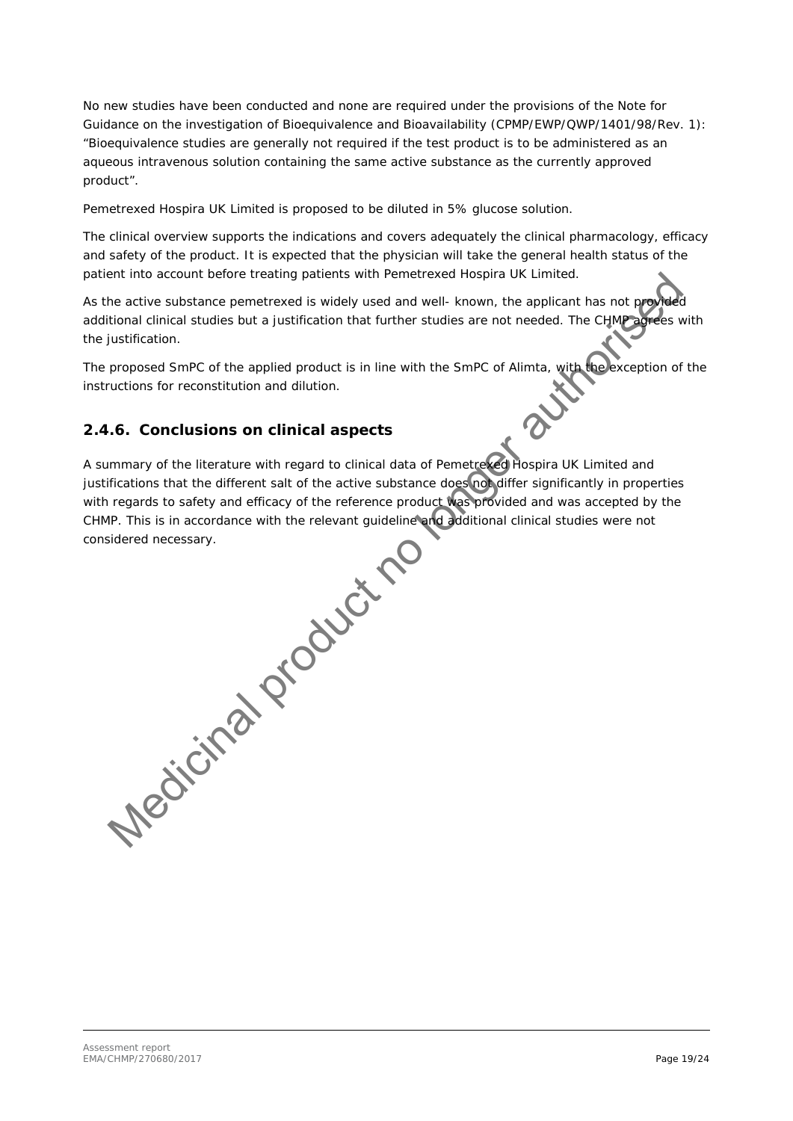No new studies have been conducted and none are required under the provisions of the Note for Guidance on the investigation of Bioequivalence and Bioavailability (CPMP/EWP/QWP/1401/98/Rev. 1): "Bioequivalence studies are generally not required if the test product is to be administered as an aqueous intravenous solution containing the same active substance as the currently approved product".

Pemetrexed Hospira UK Limited is proposed to be diluted in 5% glucose solution.

The clinical overview supports the indications and covers adequately the clinical pharmacology, efficacy and safety of the product. It is expected that the physician will take the general health status of the patient into account before treating patients with Pemetrexed Hospira UK Limited.

As the active substance pemetrexed is widely used and well- known, the applicant has not prov additional clinical studies but a justification that further studies are not needed. The CHMP agrees with the justification.

The proposed SmPC of the applied product is in line with the SmPC of Alimta, with the exception of the instructions for reconstitution and dilution.

### <span id="page-18-0"></span>**2.4.6. Conclusions on clinical aspects**

A summary of the literature with regard to clinical data of Pemetrexed Hospira UK Limited and justifications that the different salt of the active substance does not differ significantly in properties with regards to safety and efficacy of the reference product was provided and was accepted by the CHMP. This is in accordance with the relevant guideline and additional clinical studies were not considered necessary.

The active substance penderated is with Pemetrexed Hospiral UK Limited.<br>He active substance penderated is widely used and well-known, the applicant has not productional clinical studies but a justification that further stu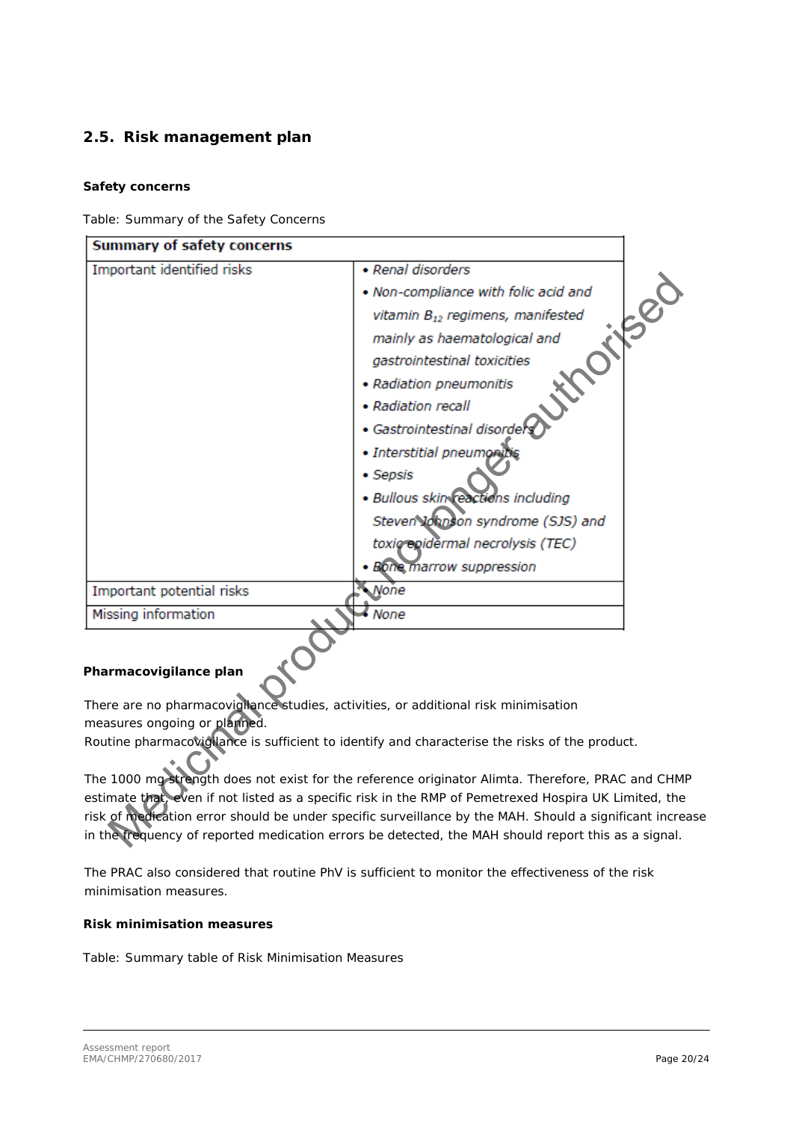### <span id="page-19-0"></span>*2.5. Risk management plan*

### *Safety concerns*

Table: Summary of the Safety Concerns

| Summary of safety concerns                                                                            |                                                                                                  |  |  |  |
|-------------------------------------------------------------------------------------------------------|--------------------------------------------------------------------------------------------------|--|--|--|
| Important identified risks                                                                            | • Renal disorders                                                                                |  |  |  |
|                                                                                                       | . Non-compliance with folic acid and                                                             |  |  |  |
|                                                                                                       | vitamin B <sub>12</sub> regimens, manifested                                                     |  |  |  |
|                                                                                                       | mainly as haematological and                                                                     |  |  |  |
|                                                                                                       | gastrointestinal toxicities                                                                      |  |  |  |
|                                                                                                       | • Radiation pneumonitis                                                                          |  |  |  |
|                                                                                                       | • Radiation recall                                                                               |  |  |  |
|                                                                                                       | • Gastrointestinal disorder                                                                      |  |  |  |
|                                                                                                       | · Interstitial pneumoning                                                                        |  |  |  |
|                                                                                                       | • Sepsis                                                                                         |  |  |  |
|                                                                                                       | · Bullous skin reactions including                                                               |  |  |  |
|                                                                                                       | Steven Johnson syndrome (SJS) and                                                                |  |  |  |
|                                                                                                       | toxig epidermal necrolysis (TEC)                                                                 |  |  |  |
|                                                                                                       | · Bone marrow suppression                                                                        |  |  |  |
| Important potential risks                                                                             | <b>None</b>                                                                                      |  |  |  |
| Missing information                                                                                   | $\bullet$ None                                                                                   |  |  |  |
| Pharmacovigilance plan                                                                                |                                                                                                  |  |  |  |
| There are no pharmacovigilance studies, activities, or additional risk minimisation                   |                                                                                                  |  |  |  |
| measures ongoing or planned.                                                                          |                                                                                                  |  |  |  |
|                                                                                                       | Routine pharmacovigilance is sufficient to identify and characterise the risks of the product.   |  |  |  |
|                                                                                                       | The 1000 mg strength does not exist for the reference originator Alimta. Therefore, PRAC and CHM |  |  |  |
| estimate that, even if not listed as a specific risk in the RMP of Pemetrexed Hospira UK Limited, the |                                                                                                  |  |  |  |
| risk of medication error should be under specific surveillance by the MAH. Should a significant incre |                                                                                                  |  |  |  |
| in the trequency of reported medication errors be detected, the MAH should report this as a signal.   |                                                                                                  |  |  |  |

### *Pharmacovigilance plan*

The PRAC also considered that routine PhV is sufficient to monitor the effectiveness of the risk minimisation measures.

### *Risk minimisation measures*

Table: Summary table of Risk Minimisation Measures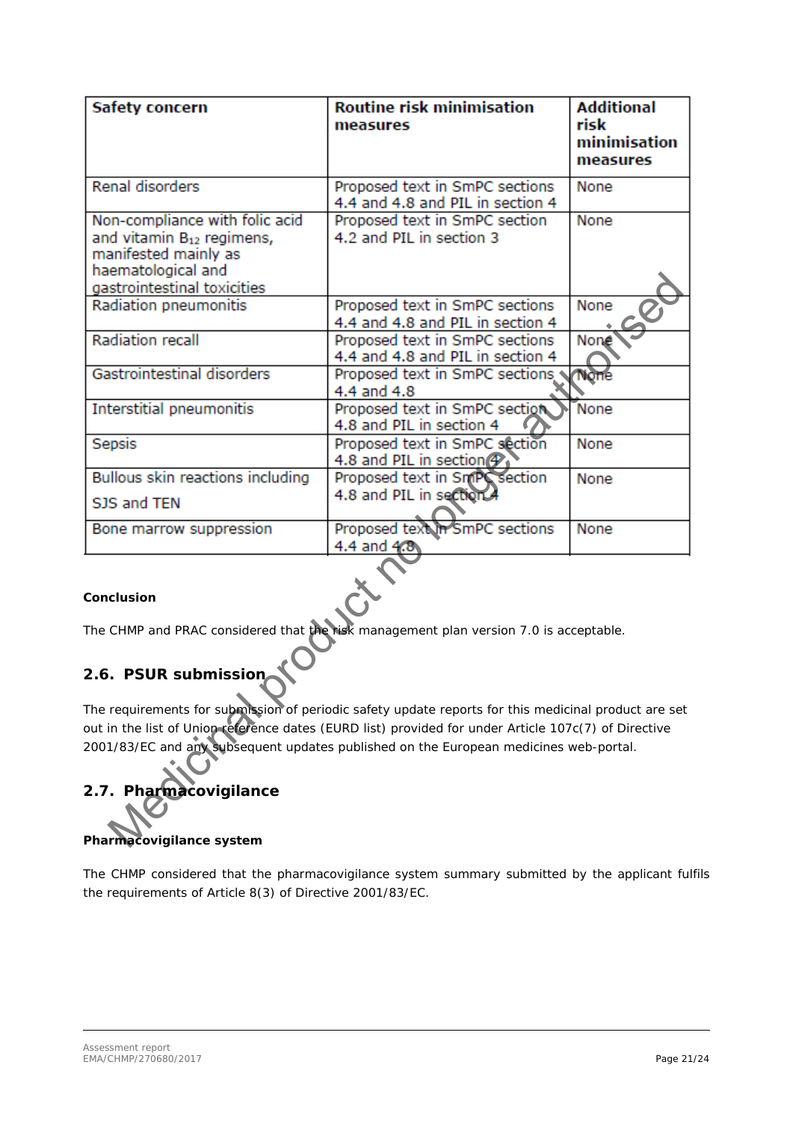| Safety concern                                                                                                                                                                                               | <b>Routine risk minimisation</b><br>measures                            | <b>Additional</b><br>risk<br>minimisation<br>measures |  |  |
|--------------------------------------------------------------------------------------------------------------------------------------------------------------------------------------------------------------|-------------------------------------------------------------------------|-------------------------------------------------------|--|--|
| <b>Renal disorders</b>                                                                                                                                                                                       | Proposed text in SmPC sections<br>4.4 and 4.8 and PIL in section 4      | None                                                  |  |  |
| Non-compliance with folic acid<br>and vitamin B <sub>12</sub> regimens,<br>manifested mainly as<br>haematological and                                                                                        | Proposed text in SmPC section<br>4.2 and PIL in section 3               | None                                                  |  |  |
| gastrointestinal toxicities<br>Radiation pneumonitis                                                                                                                                                         | Proposed text in SmPC sections<br>4.4 and 4.8 and PIL in section 4      | None                                                  |  |  |
| <b>Radiation recall</b>                                                                                                                                                                                      | Proposed text in SmPC sections<br>4.4 and 4.8 and PIL in section 4      | None                                                  |  |  |
| Gastrointestinal disorders                                                                                                                                                                                   | Proposed text in SmPC sections<br>4.4 and 4.8                           | <b>None</b>                                           |  |  |
| Interstitial pneumonitis                                                                                                                                                                                     | Proposed text in SmPC section<br>4.8 and PIL in section 4               | None                                                  |  |  |
| Sepsis                                                                                                                                                                                                       | Proposed text in SmPC section<br>4.8 and PIL in section $\mathcal{P}_1$ | None                                                  |  |  |
| Bullous skin reactions including<br>SJS and TEN                                                                                                                                                              | Proposed text in SmPC section<br>4.8 and PIL in section 4               | None                                                  |  |  |
| Bone marrow suppression                                                                                                                                                                                      | Proposed text in SmPC sections<br>4.4 and 4.8                           | None                                                  |  |  |
| Conclusion                                                                                                                                                                                                   |                                                                         |                                                       |  |  |
| The CHMP and PRAC considered that the risk management plan version 7.0 is acceptable.                                                                                                                        |                                                                         |                                                       |  |  |
| 2.6. PSUR submission                                                                                                                                                                                         |                                                                         |                                                       |  |  |
| The requirements for submission of periodic safety update reports for this medicinal product are set<br>out in the list of Union reference dates (EURD list) provided for under Article 107c(7) of Directive |                                                                         |                                                       |  |  |
| 2001/83/EC and any subsequent updates published on the European medicines web-portal.<br>2.7. Pharmacovigilance                                                                                              |                                                                         |                                                       |  |  |
| Pharmacovigilance system                                                                                                                                                                                     |                                                                         |                                                       |  |  |

### *Conclusion*

# <span id="page-20-0"></span>*2.6. PSUR submission*

# <span id="page-20-1"></span>*2.7. Pharmacovigilance*

### *Pharmacovigilance system*

The CHMP considered that the pharmacovigilance system summary submitted by the applicant fulfils the requirements of Article 8(3) of Directive 2001/83/EC.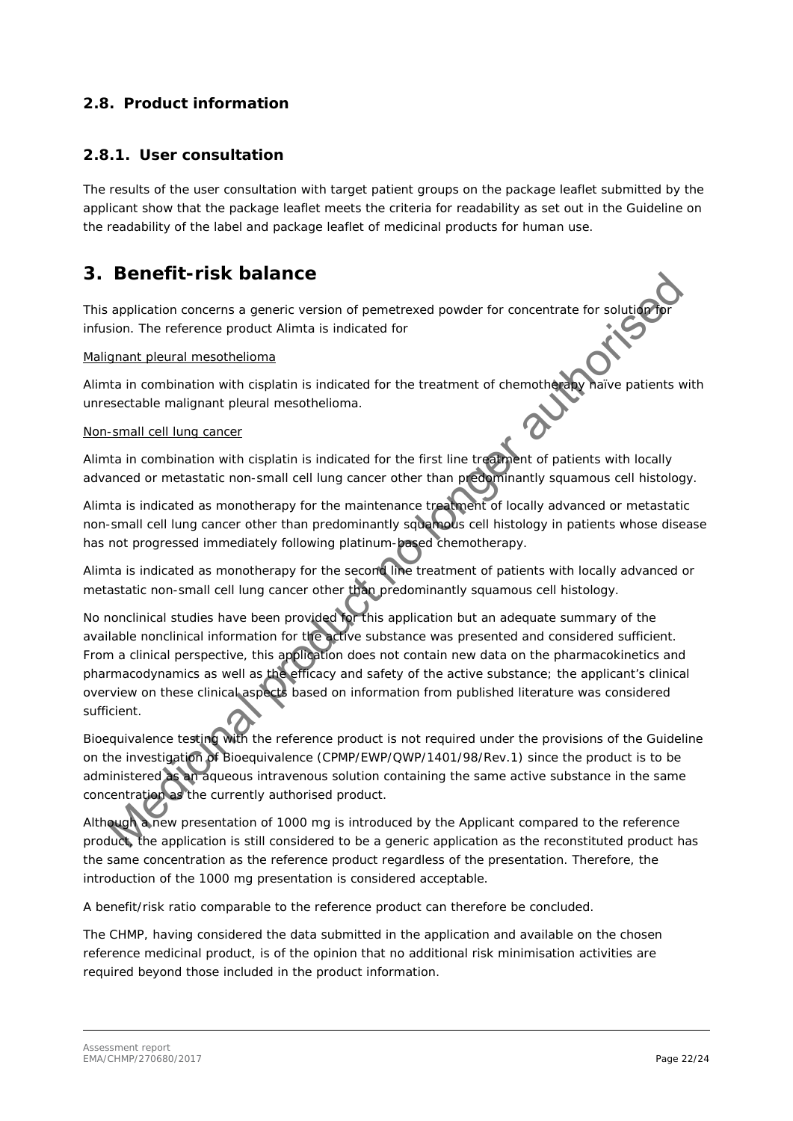### <span id="page-21-0"></span>*2.8. Product information*

### <span id="page-21-1"></span>**2.8.1. User consultation**

The results of the user consultation with target patient groups on the package leaflet submitted by the applicant show that the package leaflet meets the criteria for readability as set out in the Guideline on the readability of the label and package leaflet of medicinal products for human use.

## <span id="page-21-2"></span>**3. Benefit-risk balance**

This application concerns a generic version of pemetrexed powder for concentrate for solution infusion. The reference product Alimta is indicated for

### Malignant pleural mesothelioma

Alimta in combination with cisplatin is indicated for the treatment of chemotherapy naïve patients with unresectable malignant pleural mesothelioma.

### Non-small cell lung cancer

Alimta in combination with cisplatin is indicated for the first line treatment of patients with locally advanced or metastatic non-small cell lung cancer other than predominantly squamous cell histology.

Alimta is indicated as monotherapy for the maintenance treatment of locally advanced or metastatic non-small cell lung cancer other than predominantly squamous cell histology in patients whose disease has not progressed immediately following platinum-based chemotherapy.

Alimta is indicated as monotherapy for the second line treatment of patients with locally advanced or metastatic non-small cell lung cancer other than predominantly squamous cell histology.

No nonclinical studies have been provided for this application but an adequate summary of the available nonclinical information for the active substance was presented and considered sufficient. From a clinical perspective, this application does not contain new data on the pharmacokinetics and pharmacodynamics as well as the efficacy and safety of the active substance; the applicant's clinical overview on these clinical aspects based on information from published literature was considered sufficient. **BENET FITSK Dalance**<br>application concerns a generic version of permetewed powder for concentrate for solution<br>sign. The reference product klimate is indicated for<br>the transmit planar meantheliams<br>and the momental meaning

Bioequivalence testing with the reference product is not required under the provisions of the Guideline on the investigation of Bioequivalence (CPMP/EWP/QWP/1401/98/Rev.1) since the product is to be administered as an aqueous intravenous solution containing the same active substance in the same concentration as the currently authorised product.

Although a new presentation of 1000 mg is introduced by the Applicant compared to the reference product, the application is still considered to be a generic application as the reconstituted product has the same concentration as the reference product regardless of the presentation. Therefore, the introduction of the 1000 mg presentation is considered acceptable.

A benefit/risk ratio comparable to the reference product can therefore be concluded.

The CHMP, having considered the data submitted in the application and available on the chosen reference medicinal product, is of the opinion that no additional risk minimisation activities are required beyond those included in the product information.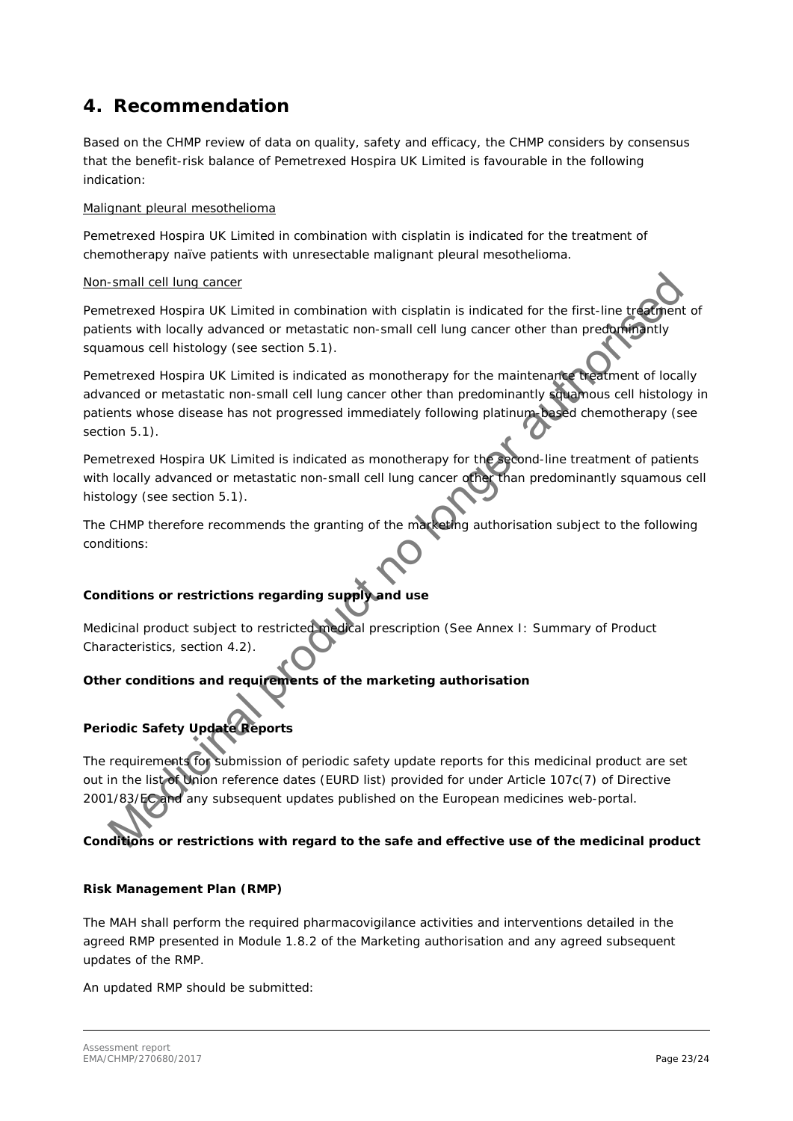# <span id="page-22-0"></span>**4. Recommendation**

Based on the CHMP review of data on quality, safety and efficacy, the CHMP considers by consensus that the benefit-risk balance of Pemetrexed Hospira UK Limited is favourable in the following indication:

### *Malignant pleural mesothelioma*

Pemetrexed Hospira UK Limited in combination with cisplatin is indicated for the treatment of *chemotherapy naïve patients with unresectable malignant pleural mesothelioma.*

### *Non-small cell lung cancer*

*Pemetrexed Hospira UK Limited in combination with cisplatin is indicated for the first-line treatment of patients with locally advanced or metastatic non-small cell lung cancer other than predominantly squamous cell histology (see section 5.1).* 

*Pemetrexed Hospira UK Limited is indicated as monotherapy for the maintenance treatment of locally advanced or metastatic non-small cell lung cancer other than predominantly squamous cell histology in patients whose disease has not progressed immediately following platinum-based chemotherapy (see section 5.1).*  Small cell lung cancer<br>certrexed Hospira UK Limited in combination with cisplatin is indicated for the first-line transmitted<br>terms with locality atomcored or metastatic non-small cell lung cancer other than predating mity

*Pemetrexed Hospira UK Limited is indicated as monotherapy for the second-line treatment of patients with locally advanced or metastatic non-small cell lung cancer other than predominantly squamous cell histology (see section 5.1).*

The CHMP therefore recommends the granting of the marketing authorisation subject to the following conditions:

### *Conditions or restrictions regarding supply and use*

Medicinal product subject to restricted medical prescription (See Annex I: Summary of Product Characteristics, section 4.2).

### *Other conditions and requirements of the marketing authorisation*

### **Periodic Safety Update Reports**

The requirements for submission of periodic safety update reports for this medicinal product are set out in the list of Union reference dates (EURD list) provided for under Article 107c(7) of Directive 2001/83/EC and any subsequent updates published on the European medicines web-portal.

*Conditions or restrictions with regard to the safe and effective use of the medicinal product*

### **Risk Management Plan (RMP)**

The MAH shall perform the required pharmacovigilance activities and interventions detailed in the agreed RMP presented in Module 1.8.2 of the Marketing authorisation and any agreed subsequent updates of the RMP.

An updated RMP should be submitted: